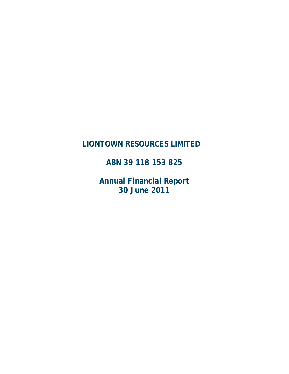# **LIONTOWN RESOURCES LIMITED**

**ABN 39 118 153 825** 

**Annual Financial Report 30 June 2011**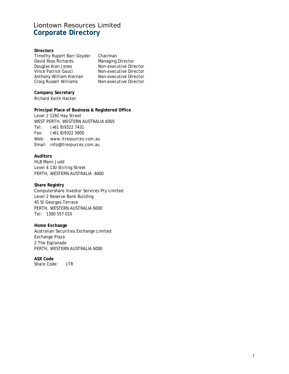# Liontown Resources Limited **Corporate Directory**

### **Directors**

Timothy Rupert Barr Goyder Chairman David Ross Richards Managing Director Douglas Alan Jones Non-executive Director Vince Patrick Gauci Non-executive Director Anthony William Kiernan Non-executive Director<br>Craig Russell Williams Non-executive Director Craig Russell Williams

**Company Secretary** Richard Keith Hacker

### **Principal Place of Business & Registered Office**

Level 2 1292 Hay Street WEST PERTH, WESTERN AUSTRALIA 6005 Tel: (+61 8)9322 7431 Fax: (+61 8)9322 5800 Web: www.ltresources.com.au Email: info@ltresources.com.au

### **Auditors**

HLB Mann Judd Level 4 130 Stirling Street PERTH, WESTERN AUSTRALIA 6000

### **Share Registry**

Computershare Investor Services Pty Limited Level 2 Reserve Bank Building 45 St Georges Terrace PERTH, WESTERN AUSTRALIA 6000 Tel: 1300 557 010

# **Home Exchange**

Australian Securities Exchange Limited Exchange Plaza 2 The Esplanade PERTH, WESTERN AUSTRALIA 6000

**ASX Code**  Share Code: LTR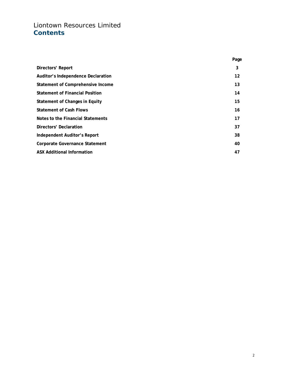# Liontown Resources Limited **Contents**

|                                        | Page |
|----------------------------------------|------|
| Directors' Report                      | 3    |
| Auditor's Independence Declaration     | 12   |
| Statement of Comprehensive Income      | 13   |
| <b>Statement of Financial Position</b> | 14   |
| Statement of Changes in Equity         | 15   |
| <b>Statement of Cash Flows</b>         | 16   |
| Notes to the Financial Statements      | 17   |
| Directors' Declaration                 | 37   |
| Independent Auditor's Report           | 38   |
| Corporate Governance Statement         | 40   |
| <b>ASX Additional Information</b>      | 47   |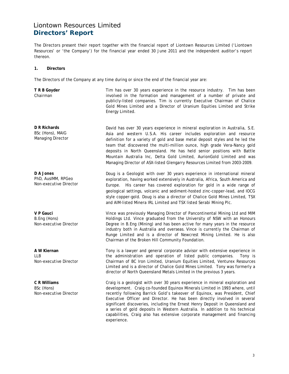The Directors present their report together with the financial report of Liontown Resources Limited ('Liontown Resources' or 'the Company') for the financial year ended 30 June 2011 and the independent auditor's report thereon.

### **1. Directors**

The Directors of the Company at any time during or since the end of the financial year are:

| T R B Goyder<br>Chairman | Tim has over 30 years experience in the resource industry. Tim has been<br>involved in the formation and management of a number of private and<br>publicly-listed companies. Tim is currently Executive Chairman of Chalice |
|--------------------------|-----------------------------------------------------------------------------------------------------------------------------------------------------------------------------------------------------------------------------|
|                          | Gold Mines Limited and a Director of Uranium Equities Limited and Strike<br>Energy Limited.                                                                                                                                 |

**D R Richards**  BSc (Hons), MAIG Managing Director

**D A Jones** PhD, AusIMM, RPGeo Non-executive Director

**V P Gauci**  B.Eng (Hons) Non-executive Director

**A W Kiernan**  LLB Non-executive Director

**C R Williams**  BSc (Hons) Non-executive Director David has over 30 years experience in mineral exploration in Australia, S.E. Asia and western U.S.A. His career includes exploration and resource definition for a variety of gold and base metal deposit styles and he led the team that discovered the multi-million ounce, high grade Vera-Nancy gold deposits in North Queensland. He has held senior positions with Battle Mountain Australia Inc, Delta Gold Limited, AurionGold Limited and was Managing Director of ASX-listed Glengarry Resources Limited from 2003-2009.

Doug is a Geologist with over 30 years experience in international mineral exploration, having worked extensively in Australia, Africa, South America and Europe. His career has covered exploration for gold in a wide range of geological settings, volcanic and sediment-hosted zinc-copper-lead, and IOCG style copper-gold. Doug is also a director of Chalice Gold Mines Limited, TSX and AIM-listed Minera IRL Limited and TSX listed Serabi Mining Plc.

 Vince was previously Managing Director of Pancontinental Mining Ltd and MIM Holdings Ltd. Vince graduated from the University of NSW with an Honours Degree in B.Eng (Mining) and has been active for many years in the resource industry both in Australia and overseas. Vince is currently the Chairman of Runge Limited and is a director of Newcrest Mining Limited. He is also Chairman of the Broken Hill Community Foundation.

 Tony is a lawyer and general corporate advisor with extensive experience in the administration and operation of listed public companies. Tony is Chairman of BC Iron Limited, Uranium Equities Limited, Venturex Resources Limited and is a director of Chalice Gold Mines Limited. Tony was formerly a director of North Queensland Metals Limited in the previous 3 years.

 Craig is a geologist with over 30 years experience in mineral exploration and development. Craig co-founded Equinox Minerals Limited in 1993 where, until recently following Barrick Gold's takeover of Equinox, was President, Chief Executive Officer and Director. He has been directly involved in several significant discoveries, including the Ernest Henry Deposit in Queensland and a series of gold deposits in Western Australia. In addition to his technical capabilities, Craig also has extensive corporate management and financing experience.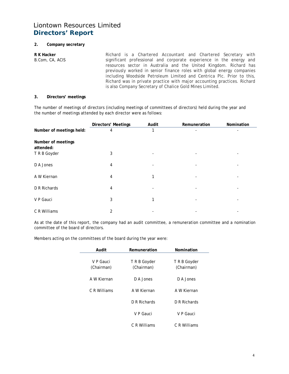### **2. Company secretary**

**R K Hacker**  B.Com, CA, ACIS Richard is a Chartered Accountant and Chartered Secretary with significant professional and corporate experience in the energy and resources sector in Australia and the United Kingdom. Richard has previously worked in senior finance roles with global energy companies including Woodside Petroleum Limited and Centrica Plc. Prior to this, Richard was in private practice with major accounting practices. Richard is also Company Secretary of Chalice Gold Mines Limited.

### **3. Directors' meetings**

The number of meetings of directors (including meetings of committees of directors) held during the year and the number of meetings attended by each director were as follows:

|                                 | <b>Directors' Meetings</b> | Audit | Remuneration | Nomination |
|---------------------------------|----------------------------|-------|--------------|------------|
| Number of meetings held:        | 4                          |       |              |            |
| Number of meetings<br>attended: |                            |       |              |            |
| T R B Goyder                    | 3                          |       |              |            |
| D A Jones                       | 4                          |       |              |            |
| A W Kiernan                     | 4                          | 1     |              |            |
| D R Richards                    | 4                          |       |              |            |
| V P Gauci                       | 3                          |       |              |            |
| C R Williams                    | 2                          |       |              |            |

As at the date of this report, the company had an audit committee, a remuneration committee and a nomination committee of the board of directors.

Members acting on the committees of the board during the year were:

| Audit                   | Remuneration               | Nomination                 |
|-------------------------|----------------------------|----------------------------|
| V P Gauci<br>(Chairman) | T R B Goyder<br>(Chairman) | T R B Goyder<br>(Chairman) |
| A W Kiernan             | D A Jones                  | D A Jones                  |
| C R Williams            | A W Kiernan                | A W Kiernan                |
|                         | D R Richards               | D R Richards               |
|                         | V P Gauci                  | V P Gauci                  |
|                         | C R Williams               | C R Williams               |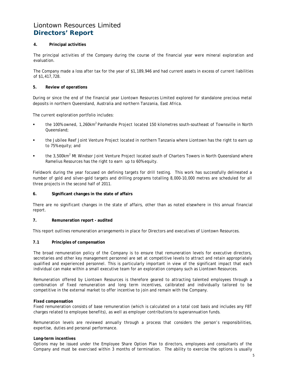### **4. Principal activities**

The principal activities of the Company during the course of the financial year were mineral exploration and evaluation.

The Company made a loss after tax for the year of \$1,189,946 and had current assets in excess of current liabilities of \$1,417,728.

### **5. Review of operations**

During or since the end of the financial year Liontown Resources Limited explored for standalone precious metal deposits in northern Queensland, Australia and northern Tanzania, East Africa.

The current exploration portfolio includes:

- the 100% owned, 1,260km<sup>2</sup> Panhandle Project located 150 kilometres south-southeast of Townsville in North Queensland;
- the Jubilee Reef Joint Venture Project located in northern Tanzania where Liontown has the right to earn up to 75% equity; and
- **the 3,500km<sup>2</sup> Mt Windsor Joint Venture Project located south of Charters Towers in North Queensland where** Ramelius Resources has the right to earn up to 60% equity.

Fieldwork during the year focused on defining targets for drill testing. This work has successfully delineated a number of gold and silver-gold targets and drilling programs totalling 8,000-10,000 metres are scheduled for all three projects in the second half of 2011.

### **6. Significant changes in the state of affairs**

There are no significant changes in the state of affairs, other than as noted elsewhere in this annual financial report.

### **7. Remuneration report - audited**

This report outlines remuneration arrangements in place for Directors and executives of Liontown Resources.

## **7.1 Principles of compensation**

The broad remuneration policy of the Company is to ensure that remuneration levels for executive directors, secretaries and other key management personnel are set at competitive levels to attract and retain appropriately qualified and experienced personnel. This is particularly important in view of the significant impact that each individual can make within a small executive team for an exploration company such as Liontown Resources.

Remuneration offered by Liontown Resources is therefore geared to attracting talented employees through a combination of fixed remuneration and long term incentives, calibrated and individually tailored to be competitive in the external market to offer incentive to join and remain with the Company.

### **Fixed compensation**

Fixed remuneration consists of base remuneration (which is calculated on a total cost basis and includes any FBT charges related to employee benefits), as well as employer contributions to superannuation funds.

Remuneration levels are reviewed annually through a process that considers the person's responsibilities, expertise, duties and personal performance.

### **Long-term incentives**

Options may be issued under the Employee Share Option Plan to directors, employees and consultants of the Company and must be exercised within 3 months of termination. The ability to exercise the options is usually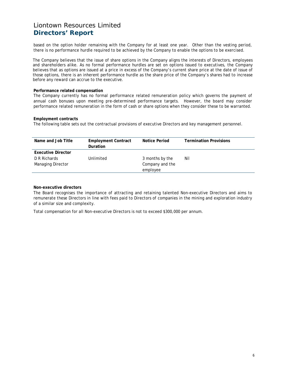based on the option holder remaining with the Company for at least one year. Other than the vesting period, there is no performance hurdle required to be achieved by the Company to enable the options to be exercised.

The Company believes that the issue of share options in the Company aligns the interests of Directors, employees and shareholders alike. As no formal performance hurdles are set on options issued to executives, the Company believes that as options are issued at a price in excess of the Company's current share price at the date of issue of those options, there is an inherent performance hurdle as the share price of the Company's shares had to increase before any reward can accrue to the executive.

### **Performance related compensation**

The Company currently has no formal performance related remuneration policy which governs the payment of annual cash bonuses upon meeting pre-determined performance targets. However, the board may consider performance related remuneration in the form of cash or share options when they consider these to be warranted.

### **Employment contracts**

The following table sets out the contractual provisions of executive Directors and key management personnel.

| Name and Job Title                                             | <b>Employment Contract</b><br><b>Duration</b> | Notice Period                                  | <b>Termination Provisions</b> |
|----------------------------------------------------------------|-----------------------------------------------|------------------------------------------------|-------------------------------|
| <b>Executive Director</b><br>D R Richards<br>Managing Director | Unlimited                                     | 3 months by the<br>Company and the<br>employee | Nil                           |

## **Non-executive directors**

The Board recognises the importance of attracting and retaining talented Non-executive Directors and aims to remunerate these Directors in line with fees paid to Directors of companies in the mining and exploration industry of a similar size and complexity.

Total compensation for all Non-executive Directors is not to exceed \$300,000 per annum.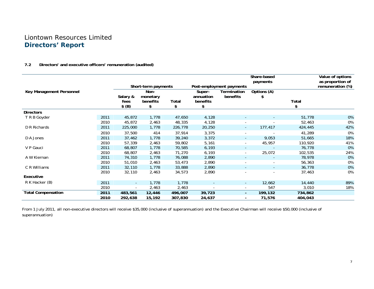## **7.2 Directors' and executive officers' remuneration (audited)**

|                           |      |                            | Short-term payments                |            |                                       | Post-employment payments | Share-based<br>payments |             | Value of options<br>as proportion of<br>remuneration (%) |
|---------------------------|------|----------------------------|------------------------------------|------------|---------------------------------------|--------------------------|-------------------------|-------------|----------------------------------------------------------|
| Key Management Personnel  |      | Salary &<br>fees<br>\$ (B) | Non-<br>monetary<br>benefits<br>\$ | Total<br>S | Super-<br>annuation<br>benefits<br>\$ | Termination<br>benefits  | Options (A)<br>\$       | Total<br>\$ |                                                          |
| <b>Directors</b>          |      |                            |                                    |            |                                       |                          |                         |             |                                                          |
| T R B Goyder              | 2011 | 45,872                     | 1,778                              | 47,650     | 4,128                                 | ۰                        |                         | 51,778      | 0%                                                       |
|                           | 2010 | 45,872                     | 2,463                              | 48,335     | 4,128                                 |                          |                         | 52,463      | 0%                                                       |
| D R Richards              | 2011 | 225,000                    | 1,778                              | 226,778    | 20,250                                | $\sim$                   | 177,417                 | 424,445     | 42%                                                      |
|                           | 2010 | 37,500                     | 414                                | 37,914     | 3,375                                 | $\sim$                   |                         | 41,289      | 0%                                                       |
| D A Jones                 | 2011 | 37,462                     | 1,778                              | 39,240     | 3,372                                 | $\sim$                   | 9,053                   | 51,665      | 18%                                                      |
|                           | 2010 | 57,339                     | 2,463                              | 59,802     | 5,161                                 | $\sim$                   | 45,957                  | 110,920     | 41%                                                      |
| V P Gauci                 | 2011 | 68,807                     | 1,778                              | 70,585     | 6,193                                 | $\overline{\phantom{a}}$ |                         | 76,778      | 0%                                                       |
|                           | 2010 | 68,807                     | 2,463                              | 71,270     | 6,193                                 | $\sim$                   | 25,072                  | 102,535     | 24%                                                      |
| A W Kiernan               | 2011 | 74,310                     | 1,778                              | 76,088     | 2,890                                 | $\sim$                   |                         | 78,978      | 0%                                                       |
|                           | 2010 | 51,010                     | 2,463                              | 53,473     | 2,890                                 | $\overline{\phantom{a}}$ | $\sim$                  | 56,363      | 0%                                                       |
| C R Williams              | 2011 | 32,110                     | 1,778                              | 33,888     | 2,890                                 | ٠                        | $\sim$                  | 36,778      | 0%                                                       |
|                           | 2010 | 32,110                     | 2,463                              | 34,573     | 2,890                                 |                          |                         | 37,463      | 0%                                                       |
| Executive                 |      |                            |                                    |            |                                       |                          |                         |             |                                                          |
| R K Hacker (B)            | 2011 | $\sim$                     | 1,778                              | 1,778      |                                       | $\sim$                   | 12,662                  | 14,440      | 89%                                                      |
|                           | 2010 |                            | 2,463                              | 2,463      |                                       | $\sim$                   | 547                     | 3,010       | 18%                                                      |
| <b>Total Compensation</b> | 2011 | 483,561                    | 12,446                             | 496,007    | 39,723                                | $\sim$                   | 199,132                 | 734,862     |                                                          |
|                           | 2010 | 292,638                    | 15,192                             | 307,830    | 24,637                                | $\blacksquare$           | 71,576                  | 404,043     |                                                          |

From 1 July 2011, all non-executive directors will receive \$35,000 (inclusive of superannuation) and the Executive Chairman will receive \$50,000 (inclusive of superannuation)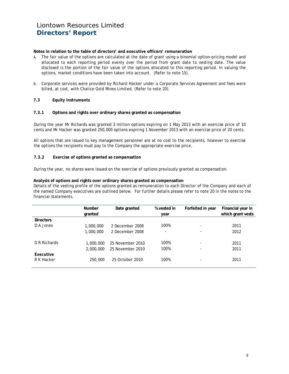### **Notes in relation to the table of directors' and executive officers' remuneration**

- A. The fair value of the options are calculated at the date of grant using a binomial option-pricing model and allocated to each reporting period evenly over the period from grant date to vesting date. The value disclosed is the portion of the fair value of the options allocated to this reporting period. In valuing the options, market conditions have been taken into account. (Refer to note 15).
- B. Corporate services were provided by Richard Hacker under a Corporate Services Agreement and fees were billed, at cost, with Chalice Gold Mines Limited. (Refer to note 20).

## **7.3 Equity instruments**

### **7.3.1 Options and rights over ordinary shares granted as compensation**

During the year Mr Richards was granted 3 million options expiring on 1 May 2013 with an exercise price of 10 cents and Mr Hacker was granted 250,000 options expiring 1 November 2013 with an exercise price of 20 cents.

All options that are issued to key management personnel are at no cost to the recipients, however to exercise the options the recipients must pay to the Company the appropriate exercise price.

## **7.3.2 Exercise of options granted as compensation**

During the year, no shares were issued on the exercise of options previously granted as compensation.

### **Analysis of options and rights over ordinary shares granted as compensation**

Details of the vesting profile of the options granted as remuneration to each Director of the Company and each of the named Company executives are outlined below. For further details please refer to note 20 in the notes to the financial statements.

|                  | <b>Number</b><br>granted | Date granted     | % vested in<br>year | Forfeited in year            | Financial year in<br>which grant vests |
|------------------|--------------------------|------------------|---------------------|------------------------------|----------------------------------------|
| <b>Directors</b> |                          |                  |                     |                              |                                        |
| D A Jones        | 1,000,000                | 2 December 2008  | 100%                | $\qquad \qquad \blacksquare$ | 2011                                   |
|                  | 1,000,000                | 2 December 2008  | ٠                   | -                            | 2012                                   |
| D R Richards     | 1,000,000                | 25 November 2010 | 100%                | ٠                            | 2011                                   |
|                  | 2,000,000                | 25 November 2010 | 100%                | ٠                            | 2011                                   |
| Executive        |                          |                  |                     |                              |                                        |
| R K Hacker       | 250,000                  | 25 October 2010  | 100%                | ۰                            | 2011                                   |
|                  |                          |                  |                     |                              |                                        |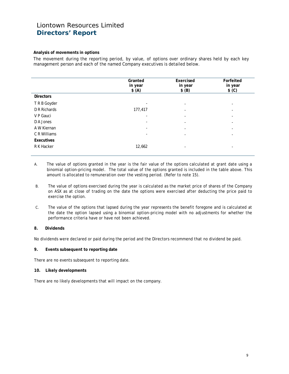## **Analysis of movements in options**

The movement during the reporting period, by value, of options over ordinary shares held by each key management person and each of the named Company executives is detailed below.

|                  | Granted<br>in year<br>\$ (A) | Exercised<br>in year<br>\$ (B) | Forfeited<br>in year<br>\$ (C) |
|------------------|------------------------------|--------------------------------|--------------------------------|
| <b>Directors</b> |                              |                                |                                |
| T R B Goyder     | -                            | ۰                              |                                |
| D R Richards     | 177,417                      |                                |                                |
| V P Gauci        | ۰                            | -                              |                                |
| D A Jones        | -                            | -                              |                                |
| A W Kiernan      | ۰                            | ۰                              |                                |
| C R Williams     | ۰.                           | ۰                              |                                |
| Executives       |                              |                                |                                |
| R K Hacker       | 12,662                       | -                              |                                |

- A. The value of options granted in the year is the fair value of the options calculated at grant date using a binomial option-pricing model. The total value of the options granted is included in the table above. This amount is allocated to remuneration over the vesting period. (Refer to note 15).
- B. The value of options exercised during the year is calculated as the market price of shares of the Company on ASX as at close of trading on the date the options were exercised after deducting the price paid to exercise the option.
- C. The value of the options that lapsed during the year represents the benefit foregone and is calculated at the date the option lapsed using a binomial option-pricing model with no adjustments for whether the performance criteria have or have not been achieved.

### **8. Dividends**

No dividends were declared or paid during the period and the Directors recommend that no dividend be paid.

**9. Events subsequent to reporting date**

There are no events subsequent to reporting date.

### **10. Likely developments**

There are no likely developments that will impact on the company.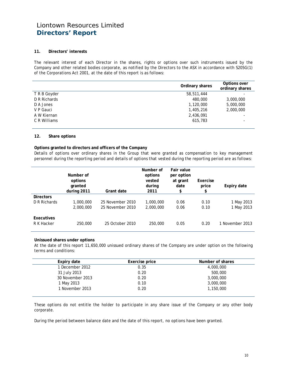### **11. Directors' interests**

The relevant interest of each Director in the shares, rights or options over such instruments issued by the Company and other related bodies corporate, as notified by the Directors to the ASX in accordance with S205G(1) of the Corporations Act 2001, at the date of this report is as follows:

|              | Ordinary shares | Options over<br>ordinary shares |
|--------------|-----------------|---------------------------------|
| T R B Goyder | 58,511,444      |                                 |
| D R Richards | 480,000         | 3,000,000                       |
| D A Jones    | 1,120,000       | 5,000,000                       |
| V P Gauci    | 1,405,216       | 2,000,000                       |
| A W Kiernan  | 2,436,091       |                                 |
| C R Williams | 615,783         |                                 |

### **12. Share options**

## **Options granted to directors and officers of the Company**

Details of options over ordinary shares in the Group that were granted as compensation to key management personnel during the reporting period and details of options that vested during the reporting period are as follows:

|                          | Number of<br>options<br>granted<br>during 2011 | Grant date       | Number of<br>options<br>vested<br>during<br>2011 | Fair value<br>per option<br>at grant<br>date<br>\$ | Exercise<br>price<br>\$ | Expiry date     |
|--------------------------|------------------------------------------------|------------------|--------------------------------------------------|----------------------------------------------------|-------------------------|-----------------|
| <b>Directors</b>         |                                                |                  |                                                  |                                                    |                         |                 |
| D R Richards             | 1,000,000                                      | 25 November 2010 | 1,000,000                                        | 0.06                                               | 0.10                    | 1 May 2013      |
|                          | 2,000,000                                      | 25 November 2010 | 2,000,000                                        | 0.06                                               | 0.10                    | 1 May 2013      |
| Executives<br>R K Hacker | 250,000                                        | 25 October 2010  | 250,000                                          | 0.05                                               | 0.20                    | 1 November 2013 |

### **Unissued shares under options**

At the date of this report 11,650,000 unissued ordinary shares of the Company are under option on the following terms and conditions:

| Expiry date      | Exercise price | Number of shares |
|------------------|----------------|------------------|
| 1 December 2012  | 0.35           | 4,000,000        |
| 31 July 2013     | 0.20           | 500,000          |
| 30 November 2013 | 0.20           | 3,000,000        |
| 1 May 2013       | 0.10           | 3,000,000        |
| 1 November 2013  | 0.20           | 1,150,000        |

These options do not entitle the holder to participate in any share issue of the Company or any other body corporate.

During the period between balance date and the date of this report, no options have been granted.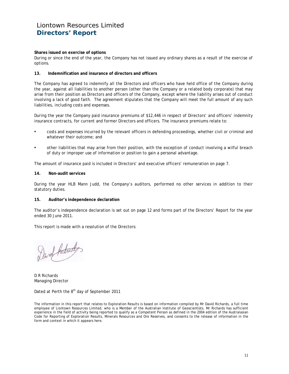### **Shares issued on exercise of options**

During or since the end of the year, the Company has not issued any ordinary shares as a result of the exercise of options.

### **13. Indemnification and insurance of directors and officers**

The Company has agreed to indemnify all the Directors and officers who have held office of the Company during the year, against all liabilities to another person (other than the Company or a related body corporate) that may arise from their position as Directors and officers of the Company, except where the liability arises out of conduct involving a lack of good faith. The agreement stipulates that the Company will meet the full amount of any such liabilities, including costs and expenses.

During the year the Company paid insurance premiums of \$12,446 in respect of Directors' and officers' indemnity insurance contracts, for current and former Directors and officers. The insurance premiums relate to:

- costs and expenses incurred by the relevant officers in defending proceedings, whether civil or criminal and whatever their outcome; and
- other liabilities that may arise from their position, with the exception of conduct involving a wilful breach of duty or improper use of information or position to gain a personal advantage.

The amount of insurance paid is included in Directors' and executive officers' remuneration on page 7.

### **14. Non-audit services**

During the year HLB Mann Judd, the Company's auditors, performed no other services in addition to their statutory duties.

### **15. Auditor's independence declaration**

The auditor's independence declaration is set out on page 12 and forms part of the Directors' Report for the year ended 30 June 2011.

This report is made with a resolution of the Directors:

Davet Adrady

D R Richards Managing Director

Dated at Perth the 8<sup>th</sup> day of September 2011

The information in this report that relates to Exploration Results is based on information compiled by Mr David Richards, a full time employee of Liontown Resources Limited, who is a Member of the Australian Institute of Geoscientists. Mr Richards has sufficient experience in the field of activity being reported to qualify as a Competent Person as defined in the 2004 edition of the Australasian Code for Reporting of Exploration Results, Minerals Resources and Ore Reserves, and consents to the release of information in the form and context in which it appears here.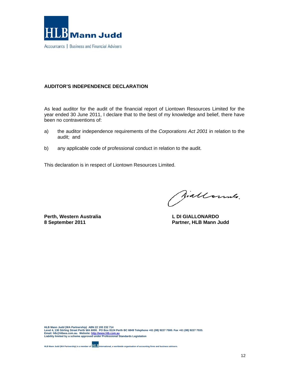

## **AUDITOR'S INDEPENDENCE DECLARATION**

As lead auditor for the audit of the financial report of Liontown Resources Limited for the year ended 30 June 2011, I declare that to the best of my knowledge and belief, there have been no contraventions of:

- a) the auditor independence requirements of the *Corporations Act 2001* in relation to the audit; and
- b) any applicable code of professional conduct in relation to the audit.

This declaration is in respect of Liontown Resources Limited.

Perth, Western Australia **Network Contract Contract Contract L DI GIALLONARDO** 

Siallonnes.

**8 September 2011 Contract Contract Contract Contract Partner, HLB Mann Judd** 

**HLB Mann Judd (WA Partnership) ABN 22 193 232 714 Level 4, 130 Stirling Street Perth WA 6000. PO Box 8124 Perth BC 6849 Telephone +61 (08) 9227 7500. Fax +61 (08) 9227 7533. Email: hlb@hlbwa.com.au. Website: http://www.hlb.com.au Liability limited by a scheme approved under Professional Standards Legislation** 

**HLB Mann Judd (WA Partnership) is a member of International, a worldwide organisation of accounting firms and business advisers.**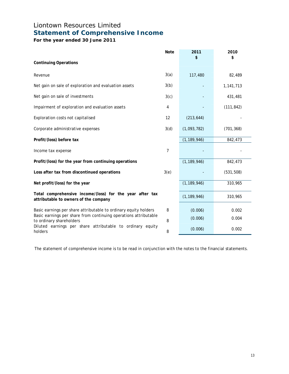# Liontown Resources Limited **Statement of Comprehensive Income**

**For the year ended 30 June 2011** 

|                                                                                                   | <b>Note</b> | 2011<br>\$    | 2010<br>\$ |
|---------------------------------------------------------------------------------------------------|-------------|---------------|------------|
| <b>Continuing Operations</b>                                                                      |             |               |            |
| Revenue                                                                                           | 3(a)        | 117,480       | 82,489     |
| Net gain on sale of exploration and evaluation assets                                             | 3(b)        |               | 1,141,713  |
| Net gain on sale of investments                                                                   | 3(c)        |               | 431,481    |
| Impairment of exploration and evaluation assets                                                   | 4           |               | (111, 842) |
| Exploration costs not capitalised                                                                 | 12          | (213, 644)    |            |
| Corporate administrative expenses                                                                 | 3(d)        | (1,093,782)   | (701, 368) |
| Profit/(loss) before tax                                                                          |             | (1, 189, 946) | 842,473    |
| Income tax expense                                                                                | 7           |               |            |
| Profit/(loss) for the year from continuing operations                                             |             | (1, 189, 946) | 842,473    |
| Loss after tax from discontinued operations                                                       | 3(e)        |               | (531, 508) |
| Net profit/(loss) for the year                                                                    |             | (1, 189, 946) | 310,965    |
| Total comprehensive income/(loss) for the year after tax<br>attributable to owners of the company |             | (1, 189, 946) | 310,965    |
| Basic earnings per share attributable to ordinary equity holders                                  | 8           | (0.006)       | 0.002      |
| Basic earnings per share from continuing operations attributable<br>to ordinary shareholders      | 8           | (0.006)       | 0.004      |
| Diluted earnings per share attributable to ordinary equity<br>holders                             | 8           | (0.006)       | 0.002      |

The statement of comprehensive income is to be read in conjunction with the notes to the financial statements.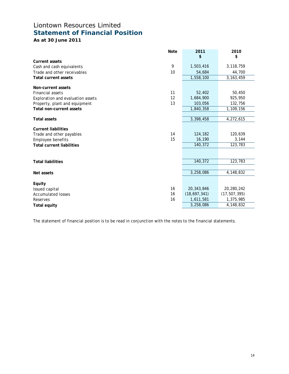# Liontown Resources Limited **Statement of Financial Position**

**As at 30 June 2011** 

|                                   | <b>Note</b> | 2011         | 2010           |
|-----------------------------------|-------------|--------------|----------------|
|                                   |             | \$           | \$             |
| Current assets                    |             |              |                |
| Cash and cash equivalents         | 9           | 1,503,416    | 3,118,759      |
| Trade and other receivables       | 10          | 54,684       | 44,700         |
| <b>Total current assets</b>       |             | 1,558,100    | 3, 163, 459    |
| Non-current assets                |             |              |                |
| <b>Financial assets</b>           | 11          | 52,402       | 50,450         |
| Exploration and evaluation assets | 12          | 1,684,900    | 925,950        |
| Property, plant and equipment     | 13          | 103,056      | 132,756        |
| <b>Total non-current assets</b>   |             | 1,840,358    | 1,109,156      |
|                                   |             |              |                |
| <b>Total assets</b>               |             | 3,398,458    | 4,272,615      |
| <b>Current liabilities</b>        |             |              |                |
| Trade and other payables          | 14          | 124,182      | 120,639        |
| Employee benefits                 | 15          | 16,190       | 3,144          |
| <b>Total current liabilities</b>  |             | 140,372      | 123,783        |
|                                   |             |              |                |
| <b>Total liabilities</b>          |             | 140,372      | 123,783        |
| Net assets                        |             | 3,258,086    | 4,148,832      |
|                                   |             |              |                |
| Equity                            |             |              |                |
| Issued capital                    | 16          | 20,343,846   | 20,280,242     |
| <b>Accumulated losses</b>         | 16          | (18,697,341) | (17, 507, 395) |
| Reserves                          | 16          | 1,611,581    | 1,375,985      |
| Total equity                      |             | 3,258,086    | 4,148,832      |

The statement of financial position is to be read in conjunction with the notes to the financial statements.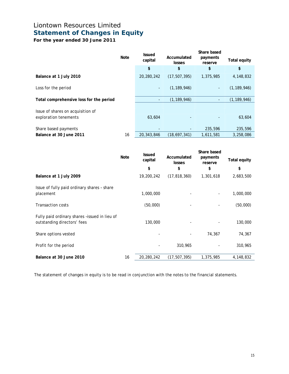# Liontown Resources Limited **Statement of Changes in Equity**

**For the year ended 30 June 2011** 

|                                                            | <b>Note</b> | <b>Issued</b><br>capital | Accumulated<br>losses | Share based<br>payments<br>reserve | <b>Total equity</b> |
|------------------------------------------------------------|-------------|--------------------------|-----------------------|------------------------------------|---------------------|
|                                                            |             | \$                       | \$                    | \$                                 | \$                  |
| Balance at 1 July 2010                                     |             | 20,280,242               | (17, 507, 395)        | 1,375,985                          | 4,148,832           |
| Loss for the period                                        |             | ٠                        | (1, 189, 946)         | $\qquad \qquad \blacksquare$       | (1, 189, 946)       |
| Total comprehensive loss for the period                    |             | $\overline{\phantom{a}}$ | (1, 189, 946)         |                                    | (1, 189, 946)       |
| Issue of shares on acquisition of<br>exploration tenements |             | 63,604                   |                       |                                    | 63,604              |
| Share based payments                                       |             |                          |                       | 235,596                            | 235,596             |
| Balance at 30 June 2011                                    | 16          | 20,343,846               | (18,697,341)          | 1,611,581                          | 3,258,086           |

|                                                                              | <b>Note</b> | <b>Issued</b><br>capital<br>\$ | Accumulated<br>losses<br>\$ | Share based<br>payments<br>reserve<br>\$ | <b>Total equity</b><br>\$ |
|------------------------------------------------------------------------------|-------------|--------------------------------|-----------------------------|------------------------------------------|---------------------------|
| Balance at 1 July 2009                                                       |             | 19,200,242                     | (17, 818, 360)              | 1,301,618                                | 2,683,500                 |
| Issue of fully paid ordinary shares - share<br>placement                     |             | 1,000,000                      |                             |                                          | 1,000,000                 |
| <b>Transaction costs</b>                                                     |             | (50,000)                       |                             |                                          | (50,000)                  |
| Fully paid ordinary shares -issued in lieu of<br>outstanding directors' fees |             | 130,000                        |                             |                                          | 130,000                   |
| Share options vested                                                         |             |                                |                             | 74,367                                   | 74,367                    |
| Profit for the period                                                        |             |                                | 310,965                     |                                          | 310,965                   |
| Balance at 30 June 2010                                                      | 16          | 20,280,242                     | (17, 507, 395)              | 1,375,985                                | 4,148,832                 |

The statement of changes in equity is to be read in conjunction with the notes to the financial statements.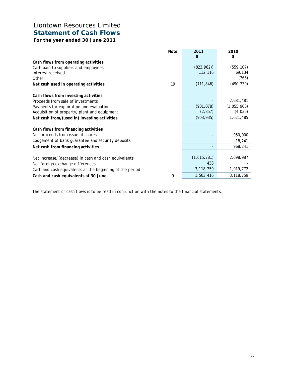# Liontown Resources Limited **Statement of Cash Flows**

**For the year ended 30 June 2011** 

|                                                          | <b>Note</b> | 2011        | 2010        |
|----------------------------------------------------------|-------------|-------------|-------------|
|                                                          |             | \$          | \$          |
| Cash flows from operating activities                     |             |             |             |
| Cash paid to suppliers and employees                     |             | (823, 962)  | (559, 107)  |
| Interest received                                        |             | 112,116     | 69,134      |
| Other                                                    |             |             | (766)       |
| Net cash used in operating activities                    | 19          | (711, 846)  | (490,739)   |
| Cash flows from investing activities                     |             |             |             |
| Proceeds from sale of investments                        |             |             | 2,681,481   |
| Payments for exploration and evaluation                  |             | (901, 078)  | (1,055,960) |
| Acquisition of property, plant and equipment             |             | (2, 857)    | (4,036)     |
| Net cash from/(used in) investing activities             |             | (903, 935)  | 1,621,485   |
|                                                          |             |             |             |
| Cash flows from financing activities                     |             |             |             |
| Net proceeds from issue of shares                        |             |             | 950,000     |
| Lodgement of bank guarantee and security deposits        |             |             | 18,241      |
| Net cash from financing activities                       |             |             | 968,241     |
|                                                          |             |             |             |
| Net increase/(decrease) in cash and cash equivalents     |             | (1,615,781) | 2,098,987   |
| Net foreign exchange differences                         |             | 438         |             |
| Cash and cash equivalents at the beginning of the period |             | 3,118,759   | 1,019,772   |
| Cash and cash equivalents at 30 June                     | 9           | 1,503,416   | 3,118,759   |

The statement of cash flows is to be read in conjunction with the notes to the financial statements.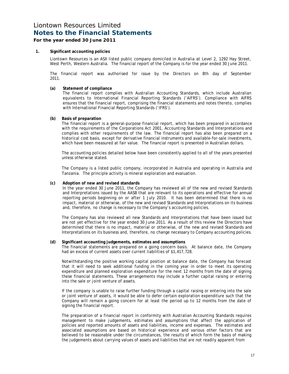## **For the year ended 30 June 2011**

### **1. Significant accounting policies**

Liontown Resources is an ASX listed public company domiciled in Australia at Level 2, 1292 Hay Street, West Perth, Western Australia. The financial report of the Company is for the year ended 30 June 2011.

The financial report was authorised for issue by the Directors on 8th day of September 2011.

### **(a) Statement of compliance**

The financial report complies with Australian Accounting Standards, which include Australian equivalents to International Financial Reporting Standards ('AIFRS'). Compliance with AIFRS ensures that the financial report, comprising the financial statements and notes thereto, complies with International Financial Reporting Standards ('IFRS').

### **(b) Basis of preparation**

The financial report is a general-purpose financial report, which has been prepared in accordance with the requirements of the Corporations Act 2001, Accounting Standards and Interpretations and complies with other requirements of the law. The financial report has also been prepared on a historical cost basis, except for derivative financial instruments and available-for-sale investments, which have been measured at fair value. The financial report is presented in Australian dollars.

The accounting policies detailed below have been consistently applied to all of the years presented unless otherwise stated.

The Company is a listed public company, incorporated in Australia and operating in Australia and Tanzania. The principle activity is mineral exploration and evaluation.

### **(c) Adoption of new and revised standards**

In the year ended 30 June 2011, the Company has reviewed all of the new and revised Standards and Interpretations issued by the AASB that are relevant to its operations and effective for annual reporting periods beginning on or after 1 July 2010. It has been determined that there is no impact, material or otherwise, of the new and revised Standards and Interpretations on its business and, therefore, no change is necessary to the Company's accounting policies.

The Company has also reviewed all new Standards and Interpretations that have been issued but are not yet effective for the year ended 30 June 2011. As a result of this review the Directors have determined that there is no impact, material or otherwise, of the new and revised Standards and Interpretations on its business and, therefore, no change necessary to Company accounting policies.

### **(d) Significant accounting judgements, estimates and assumptions**

The financial statements are prepared on a going concern basis. At balance date, the Company had an excess of current assets over current liabilities of \$1,417,728.

Notwithstanding the positive working capital position at balance date, the Company has forecast that it will need to seek additional funding in the coming year in order to meet its operating expenditure and planned exploration expenditure for the next 12 months from the date of signing these financial statements. These arrangements may include a further capital raising or entering into the sale or joint venture of assets.

If the company is unable to raise further funding through a capital raising or entering into the sale or joint venture of assets, it would be able to defer certain exploration expenditure such that the Company will remain a going concern for at least the period up to 12 months from the date of signing the financial report.

The preparation of a financial report in conformity with Australian Accounting Standards requires management to make judgements, estimates and assumptions that affect the application of policies and reported amounts of assets and liabilities, income and expenses. The estimates and associated assumptions are based on historical experience and various other factors that are believed to be reasonable under the circumstances, the results of which form the basis of making the judgements about carrying values of assets and liabilities that are not readily apparent from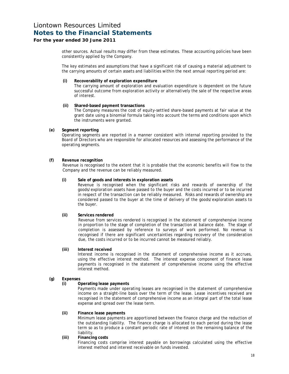## **For the year ended 30 June 2011**

other sources. Actual results may differ from these estimates. These accounting policies have been consistently applied by the Company.

The key estimates and assumptions that have a significant risk of causing a material adjustment to the carrying amounts of certain assets and liabilities within the next annual reporting period are:

### **(i) Recoverability of exploration expenditure**

The carrying amount of exploration and evaluation expenditure is dependent on the future successful outcome from exploration activity or alternatively the sale of the respective areas of interest.

### **(ii) Shared-based payment transactions**

The Company measures the cost of equity-settled share-based payments at fair value at the grant date using a binomial formula taking into account the terms and conditions upon which the instruments were granted.

### **(e) Segment reporting**

 Operating segments are reported in a manner consistent with internal reporting provided to the Board of Directors who are responsible for allocated resources and assessing the performance of the operating segments.

### **(f) Revenue recognition**

Revenue is recognised to the extent that it is probable that the economic benefits will flow to the Company and the revenue can be reliably measured.

### **(i) Sale of goods and interests in exploration assets**

Revenue is recognised when the significant risks and rewards of ownership of the goods/exploration assets have passed to the buyer and the costs incurred or to be incurred in respect of the transaction can be reliably measured. Risks and rewards of ownership are considered passed to the buyer at the time of delivery of the goods/exploration assets to the buyer.

### **(ii) Services rendered**

 Revenue from services rendered is recognised in the statement of comprehensive income in proportion to the stage of completion of the transaction at balance date. The stage of completion is assessed by reference to surveys of work performed. No revenue is recognised if there are significant uncertainties regarding recovery of the consideration due, the costs incurred or to be incurred cannot be measured reliably.

### **(iii) Interest received**

 Interest income is recognised in the statement of comprehensive income as it accrues, using the effective interest method. The interest expense component of finance lease payments is recognised in the statement of comprehensive income using the effective interest method.

### **(g) Expenses**

 **(i) Operating lease payments**

 Payments made under operating leases are recognised in the statement of comprehensive income on a straight-line basis over the term of the lease. Lease incentives received are recognised in the statement of comprehensive income as an integral part of the total lease expense and spread over the lease term.

### **(ii) Finance lease payments**

 Minimum lease payments are apportioned between the finance charge and the reduction of the outstanding liability. The finance charge is allocated to each period during the lease term so as to produce a constant periodic rate of interest on the remaining balance of the liability.

### **(iii) Financing costs**

 Financing costs comprise interest payable on borrowings calculated using the effective interest method and interest receivable on funds invested.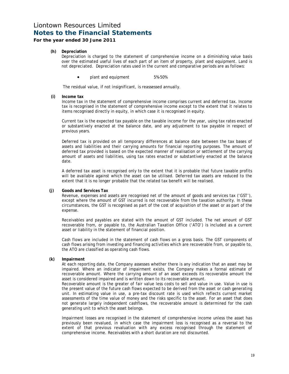## **For the year ended 30 June 2011**

### **(h) Depreciation**

 Depreciation is charged to the statement of comprehensive income on a diminishing value basis over the estimated useful lives of each part of an item of property, plant and equipment. Land is not depreciated. Depreciation rates used in the current and comparative periods are as follows:

plant and equipment 5%-50%

The residual value, if not insignificant, is reassessed annually.

### **(i) Income tax**

 Income tax in the statement of comprehensive income comprises current and deferred tax. Income tax is recognised in the statement of comprehensive income except to the extent that it relates to items recognised directly in equity, in which case it is recognised in equity.

 Current tax is the expected tax payable on the taxable income for the year, using tax rates enacted or substantively enacted at the balance date, and any adjustment to tax payable in respect of previous years.

 Deferred tax is provided on all temporary differences at balance date between the tax bases of assets and liabilities and their carrying amounts for financial reporting purposes. The amount of deferred tax provided is based on the expected manner of realisation or settlement of the carrying amount of assets and liabilities, using tax rates enacted or substantively enacted at the balance date.

 A deferred tax asset is recognised only to the extent that it is probable that future taxable profits will be available against which the asset can be utilised. Deferred tax assets are reduced to the extent that it is no longer probable that the related tax benefit will be realised.

### **(j) Goods and Services Tax**

 Revenue, expenses and assets are recognised net of the amount of goods and services tax ('GST'), except where the amount of GST incurred is not recoverable from the taxation authority. In these circumstances, the GST is recognised as part of the cost of acquisition of the asset or as part of the expense.

 Receivables and payables are stated with the amount of GST included. The net amount of GST recoverable from, or payable to, the Australian Taxation Office ('ATO') is included as a current asset or liability in the statement of financial position.

 Cash flows are included in the statement of cash flows on a gross basis. The GST components of cash flows arising from investing and financing activities which are recoverable from, or payable to, the ATO are classified as operating cash flows.

### **(k) Impairment**

 At each reporting date, the Company assesses whether there is any indication that an asset may be impaired. Where an indicator of impairment exists, the Company makes a formal estimate of recoverable amount. Where the carrying amount of an asset exceeds its recoverable amount the asset is considered impaired and is written down to its recoverable amount.

 Recoverable amount is the greater of fair value less costs to sell and value in use. Value in use is the present value of the future cash flows expected to be derived from the asset or cash generating unit. In estimating value in use, a pre-tax discount rate is used which reflects current market assessments of the time value of money and the risks specific to the asset. For an asset that does not generate largely independent cashflows, the recoverable amount is determined for the cash generating unit to which the asset belongs.

Impairment losses are recognised in the statement of comprehensive income unless the asset has previously been revalued, in which case the impairment loss is recognised as a reversal to the extent of that previous revaluation with any excess recognised through the statement of comprehensive income. Receivables with a short duration are not discounted.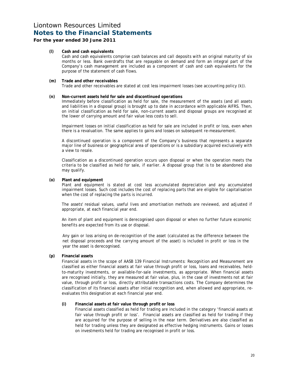## **For the year ended 30 June 2011**

### **(l) Cash and cash equivalents**

 Cash and cash equivalents comprise cash balances and call deposits with an original maturity of six months or less. Bank overdrafts that are repayable on demand and form an integral part of the Company's cash management are included as a component of cash and cash equivalents for the purpose of the statement of cash flows.

### **(m) Trade and other receivables**

Trade and other receivables are stated at cost less impairment losses (see accounting policy (k)).

### **(n) Non-current assets held for sale and discontinued operations**

 Immediately before classification as held for sale, the measurement of the assets (and all assets and liabilities in a disposal group) is brought up to date in accordance with applicable AIFRS. Then, on initial classification as held for sale, non-current assets and disposal groups are recognised at the lower of carrying amount and fair value less costs to sell.

 Impairment losses on initial classification as held for sale are included in profit or loss, even when there is a revaluation. The same applies to gains and losses on subsequent re-measurement.

 A discontinued operation is a component of the Company's business that represents a separate major line of business or geographical area of operations or is a subsidiary acquired exclusively with a view to resale.

 Classification as a discontinued operation occurs upon disposal or when the operation meets the criteria to be classified as held for sale, if earlier. A disposal group that is to be abandoned also may qualify.

### **(o) Plant and equipment**

 Plant and equipment is stated at cost less accumulated depreciation and any accumulated impairment losses. Such cost includes the cost of replacing parts that are eligible for capitalisation when the cost of replacing the parts is incurred.

 The assets' residual values, useful lives and amortisation methods are reviewed, and adjusted if appropriate, at each financial year end.

An item of plant and equipment is derecognised upon disposal or when no further future economic benefits are expected from its use or disposal.

Any gain or loss arising on de-recognition of the asset (calculated as the difference between the net disposal proceeds and the carrying amount of the asset) is included in profit or loss in the year the asset is derecognised.

### **(p) Financial assets**

Financial assets in the scope of AASB 139 *Financial Instruments: Recognition and Measurement* are classified as either financial assets at fair value through profit or loss, loans and receivables, heldto-maturity investments, or available-for-sale investments, as appropriate. When financial assets are recognised initially, they are measured at fair value, plus, in the case of investments not at fair value, through profit or loss, directly attributable transactions costs. The Company determines the classification of its financial assets after initial recognition and, when allowed and appropriate, reevaluates this designation at each financial year end.

### **(i) Financial assets at fair value through profit or loss**

 Financial assets classified as held for trading are included in the category 'financial assets at fair value through profit or loss'. Financial assets are classified as held for trading if they are acquired for the purpose of selling in the near term. Derivatives are also classified as held for trading unless they are designated as effective hedging instruments. Gains or losses on investments held for trading are recognised in profit or loss.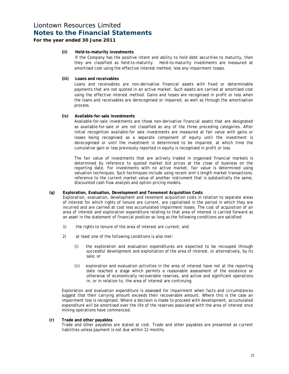## **For the year ended 30 June 2011**

### **(ii) Held-to-maturity investments**

If the Company has the positive intent and ability to hold debt securities to maturity, then they are classified as held-to-maturity. Held-to-maturity investments are measured at amortised cost using the effective interest method, less any impairment losses.

### **(iii) Loans and receivables**

 Loans and receivables are non-derivative financial assets with fixed or determinable payments that are not quoted in an active market. Such assets are carried at amortised cost using the effective interest method. Gains and losses are recognised in profit or loss when the loans and receivables are derecognised or impaired, as well as through the amortisation process.

### **(iv) Available-for-sale investments**

 Available-for-sale investments are those non-derivative financial assets that are designated as available-for-sale or are not classified as any of the three preceding categories. After initial recognition available-for sale investments are measured at fair value with gains or losses being recognised as a separate component of equity until the investment is derecognised or until the investment is determined to be impaired, at which time the cumulative gain or loss previously reported in equity is recognised in profit or loss.

 The fair value of investments that are actively traded in organised financial markets is determined by reference to quoted market bid prices at the close of business on the reporting date. For investments with no active market, fair value is determined using valuation techniques. Such techniques include using recent arm's length market transactions; reference to the current market value of another instrument that is substantially the same; discounted cash flow analysis and option pricing models.

### **(q) Exploration, Evaluation, Development and Tenement Acquisition Costs**

 Exploration, evaluation, development and tenement acquisition costs in relation to separate areas of interest for which rights of tenure are current, are capitalised in the period in which they are incurred and are carried at cost less accumulated impairment losses. The cost of acquisition of an area of interest and exploration expenditure relating to that area of interest is carried forward as an asset in the statement of financial position so long as the following conditions are satisfied:

- 1) the rights to tenure of the area of interest are current; and
- 2) at least one of the following conditions is also met:
	- (i) the exploration and evaluation expenditures are expected to be recouped through successful development and exploitation of the area of interest, or alternatively, by its sale; or
	- (ii) exploration and evaluation activities in the area of interest have not at the reporting date reached a stage which permits a reasonable assessment of the existence or otherwise of economically recoverable reserves, and active and significant operations in, or in relation to, the area of interest are continuing.

 Exploration and evaluation expenditure is assessed for impairment when facts and circumstances suggest that their carrying amount exceeds their recoverable amount. Where this is the case an impairment loss is recognised. Where a decision is made to proceed with development, accumulated expenditure will be amortised over the life of the reserves associated with the area of interest once mining operations have commenced.

### **(r) Trade and other payables**

 Trade and other payables are stated at cost. Trade and other payables are presented as current liabilities unless payment is not due within 12 months.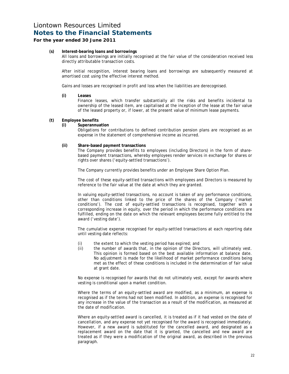## **For the year ended 30 June 2011**

### **(s) Interest-bearing loans and borrowings**

 All loans and borrowings are initially recognised at the fair value of the consideration received less directly attributable transaction costs.

 After initial recognition, interest bearing loans and borrowings are subsequently measured at amortised cost using the effective interest method.

Gains and losses are recognised in profit and loss when the liabilities are derecognised.

 **(i) Leases** 

Finance leases, which transfer substantially all the risks and benefits incidental to ownership of the leased item, are capitalised at the inception of the lease at the fair value of the leased property or, if lower, at the present value of minimum lease payments.

### **(t) Employee benefits**

### **(i) Superannuation**

 Obligations for contributions to defined contribution pension plans are recognised as an expense in the statement of comprehensive income as incurred.

### **(ii) Share-based payment transactions**

 The Company provides benefits to employees (including Directors) in the form of sharebased payment transactions, whereby employees render services in exchange for shares or rights over shares ('equity-settled transactions').

The Company currently provides benefits under an Employee Share Option Plan.

The cost of these equity-settled transactions with employees and Directors is measured by reference to the fair value at the date at which they are granted.

In valuing equity-settled transactions, no account is taken of any performance conditions, other than conditions linked to the price of the shares of the Company ('market conditions'). The cost of equity-settled transactions is recognised, together with a corresponding increase in equity, over the period in which the performance conditions are fulfilled, ending on the date on which the relevant employees become fully entitled to the award ('vesting date').

 The cumulative expense recognised for equity-settled transactions at each reporting date until vesting date reflects:

- (i) the extent to which the vesting period has expired; and
- (ii) the number of awards that, in the opinion of the Directors, will ultimately vest. This opinion is formed based on the best available information at balance date. No adjustment is made for the likelihood of market performance conditions being met as the effect of these conditions is included in the determination of fair value at grant date.

No expense is recognised for awards that do not ultimately vest, except for awards where vesting is conditional upon a market condition.

Where the terms of an equity-settled award are modified, as a minimum, an expense is recognised as if the terms had not been modified. In addition, an expense is recognised for any increase in the value of the transaction as a result of the modification, as measured at the date of modification.

 Where an equity-settled award is cancelled, it is treated as if it had vested on the date of cancellation, and any expense not yet recognised for the award is recognised immediately. However, if a new award is substituted for the cancelled award, and designated as a replacement award on the date that it is granted, the cancelled and new award are treated as if they were a modification of the original award, as described in the previous paragraph.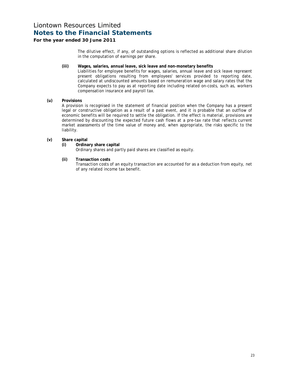## **For the year ended 30 June 2011**

The dilutive effect, if any, of outstanding options is reflected as additional share dilution in the computation of earnings per share.

### **(iii) Wages, salaries, annual leave, sick leave and non-monetary benefits**

 Liabilities for employee benefits for wages, salaries, annual leave and sick leave represent present obligations resulting from employees' services provided to reporting date, calculated at undiscounted amounts based on remuneration wage and salary rates that the Company expects to pay as at reporting date including related on-costs, such as, workers compensation insurance and payroll tax.

## **(u) Provisions**

 A provision is recognised in the statement of financial position when the Company has a present legal or constructive obligation as a result of a past event, and it is probable that an outflow of economic benefits will be required to settle the obligation. If the effect is material, provisions are determined by discounting the expected future cash flows at a pre-tax rate that reflects current market assessments of the time value of money and, when appropriate, the risks specific to the liability.

## **(v) Share capital**

### **(i) Ordinary share capital**

Ordinary shares and partly paid shares are classified as equity.

### **(ii) Transaction costs**

 Transaction costs of an equity transaction are accounted for as a deduction from equity, net of any related income tax benefit.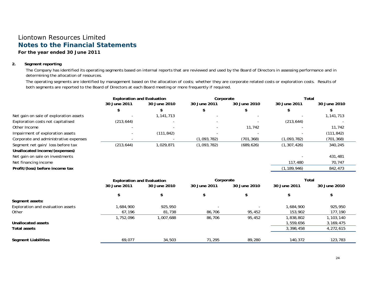# **For the year ended 30 June 2011**

## **2. Segment reporting**

The Company has identified its operating segments based on internal reports that are reviewed and used by the Board of Directors in assessing performance and in determining the allocation of resources.

The operating segments are identified by management based on the allocation of costs; whether they are corporate related costs or exploration costs. Results of both segments are reported to the Board of Directors at each Board meeting or more frequently if required.

|                                        | <b>Exploration and Evaluation</b> |              | Corporate    |              | Total         |              |
|----------------------------------------|-----------------------------------|--------------|--------------|--------------|---------------|--------------|
|                                        | 30 June 2011                      | 30 June 2010 | 30 June 2011 | 30 June 2010 | 30 June 2011  | 30 June 2010 |
|                                        | \$                                | \$           |              |              | S             | S            |
| Net gain on sale of exploration assets |                                   | 1,141,713    |              |              |               | 1,141,713    |
| Exploration costs not capitalised      | (213, 644)                        |              |              |              | (213, 644)    |              |
| Other Income                           |                                   |              |              | 11,742       |               | 11,742       |
| Impairment of exploration assets       |                                   | (111, 842)   |              |              |               | (111, 842)   |
| Corporate and administrative expenses  |                                   |              | (1,093,782)  | (701, 368)   | (1,093,782)   | (701, 368)   |
| Segment net gain/ loss before tax      | (213, 644)                        | 1,029,871    | (1,093,782)  | (689, 626)   | (1, 307, 426) | 340,245      |
| Unallocated income/(expenses)          |                                   |              |              |              |               |              |
| Net gain on sale on investments        |                                   |              |              |              |               | 431,481      |
| Net financing income                   |                                   |              |              |              | 117,480       | 70,747       |
| Profit/(loss) before income tax        |                                   |              |              |              | (1, 189, 946) | 842,473      |
|                                        |                                   |              |              |              |               |              |
|                                        | <b>Exploration and Evaluation</b> |              | Corporate    |              | Total         |              |
|                                        | 30 June 2011                      | 30 June 2010 | 30 June 2011 | 30 June 2010 | 30 June 2011  | 30 June 2010 |
|                                        | \$                                | \$           | \$           | \$           | \$            | \$           |
| Segment assets:                        |                                   |              |              |              |               |              |
| Exploration and evaluation assets      | 1,684,900                         | 925,950      |              |              | 1,684,900     | 925,950      |
| Other                                  | 67,196                            | 81,738       | 86,706       | 95,452       | 153,902       | 177,190      |
|                                        | 1,752,096                         | 1,007,688    | 86,706       | 95,452       | 1,838,802     | 1,103,140    |
| <b>Unallocated assets</b>              |                                   |              |              |              | 1,559,656     | 3, 169, 475  |
| <b>Total assets</b>                    |                                   |              |              |              | 3,398,458     | 4,272,615    |
| <b>Segment Liabilities</b>             | 69,077                            | 34,503       | 71,295       | 89,280       | 140,372       | 123,783      |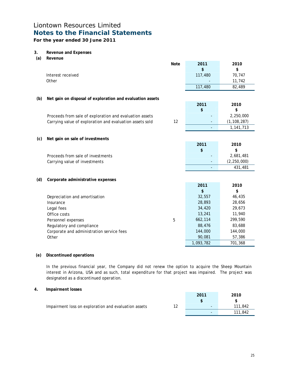# **For the year ended 30 June 2011**

## **3. Revenue and Expenses**

**(a) Revenue** 

|     |                                                           | <b>Note</b> | 2011      | 2010          |
|-----|-----------------------------------------------------------|-------------|-----------|---------------|
|     |                                                           |             | \$        | \$            |
|     | Interest received                                         |             | 117,480   | 70,747        |
|     | Other                                                     |             |           | 11,742        |
|     |                                                           |             | 117,480   | 82,489        |
| (b) | Net gain on disposal of exploration and evaluation assets |             |           |               |
|     |                                                           |             | 2011      | 2010          |
|     |                                                           |             | \$        | \$            |
|     | Proceeds from sale of exploration and evaluation assets   |             |           | 2,250,000     |
|     | Carrying value of exploration and evaluation assets sold  | 12          |           | (1, 108, 287) |
|     |                                                           |             |           | 1,141,713     |
|     |                                                           |             |           |               |
| (c) | Net gain on sale of investments                           |             |           |               |
|     |                                                           |             | 2011      | 2010          |
|     |                                                           |             | \$        | \$            |
|     | Proceeds from sale of investments                         |             |           | 2,681,481     |
|     | Carrying value of investments                             |             |           | (2, 250, 000) |
|     |                                                           |             |           | 431,481       |
|     |                                                           |             |           |               |
| (d) | Corporate administrative expenses                         |             |           |               |
|     |                                                           |             | 2011      | 2010          |
|     |                                                           |             | \$        | \$            |
|     | Depreciation and amortisation                             |             | 32,557    | 46,435        |
|     | Insurance                                                 |             | 28,893    | 28,656        |
|     | Legal fees                                                |             | 34,420    | 29,673        |
|     | Office costs                                              |             | 13,241    | 11,940        |
|     | Personnel expenses                                        | 5           | 662,114   | 299,590       |
|     | Regulatory and compliance                                 |             | 88,476    | 83,688        |
|     | Corporate and administration service fees                 |             | 144,000   | 144,000       |
|     | Other                                                     |             | 90,081    | 57,386        |
|     |                                                           |             | 1,093,782 | 701,368       |

## **(e) Discontinued operations**

 In the previous financial year, the Company did not renew the option to acquire the Sheep Mountain interest in Arizona, USA and as such, total expenditure for that project was impaired. The project was designated as a discontinued operation.

### **4. Impairment losses**

| Impairment loss on exploration and evaluation assets | $\sim$                   | 111,842 |
|------------------------------------------------------|--------------------------|---------|
|                                                      | $\overline{\phantom{a}}$ | 111.842 |

 **2011 2010**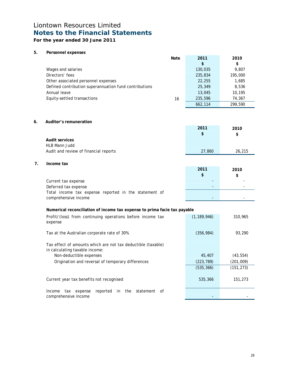## **For the year ended 30 June 2011**

**5. Personnel expenses** 

| Note                                                   | 2011    | 2010    |
|--------------------------------------------------------|---------|---------|
|                                                        | \$      | \$      |
| Wages and salaries                                     | 130,035 | 9.807   |
| Directors' fees                                        | 235,834 | 195,000 |
| Other associated personnel expenses                    | 22,255  | 1,685   |
| Defined contribution superannuation fund contributions | 25,349  | 8,536   |
| Annual leave                                           | 13,045  | 10,195  |
| Equity-settled transactions<br>16                      | 235,596 | 74,367  |
|                                                        | 662,114 | 299,590 |

### **6. Auditor's remuneration**

|                                       | 2011   | 2010   |
|---------------------------------------|--------|--------|
|                                       | \$     |        |
| Audit services                        |        |        |
| HLB Mann Judd                         |        |        |
| Audit and review of financial reports | 27,860 | 26,215 |

## **7. Income tax**

|                                                       | 2011 | 2010 |
|-------------------------------------------------------|------|------|
|                                                       |      |      |
| Current tax expense                                   |      |      |
| Deferred tax expense                                  |      |      |
| Total income tax expense reported in the statement of |      |      |
| comprehensive income                                  | -    |      |

### **Numerical reconciliation of income tax expense to prima facie tax payable**

| Profit/(loss) from continuing operations before income tax<br>expense                          | (1, 189, 946) | 310,965    |
|------------------------------------------------------------------------------------------------|---------------|------------|
| Tax at the Australian corporate rate of 30%                                                    | (356, 984)    | 93,290     |
| Tax effect of amounts which are not tax deductible (taxable)<br>in calculating taxable income: |               |            |
| Non-deductible expenses                                                                        | 45,407        | (43, 554)  |
| Origination and reversal of temporary differences                                              | (223, 789)    | (201, 009) |
|                                                                                                | (535, 366)    | (151, 273) |
| Current year tax benefits not recognised                                                       | 535,366       | 151,273    |
| in the<br>reported<br>statement<br>Income<br>of<br>tax<br>expense<br>comprehensive income      |               |            |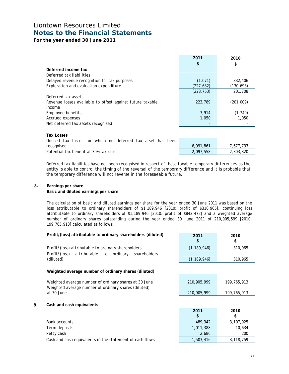**For the year ended 30 June 2011** 

|                                                           | 2011       | 2010       |
|-----------------------------------------------------------|------------|------------|
|                                                           | \$         | \$         |
| Deferred income tax                                       |            |            |
| Deferred tax liabilities                                  |            |            |
| Delayed revenue recognition for tax purposes              | (1,071)    | 332,406    |
| Exploration and evaluation expenditure                    | (227, 682) | (130, 698) |
|                                                           | (228, 753) | 201,708    |
| Deferred tax assets                                       |            |            |
| Revenue losses available to offset against future taxable | 223,789    | (201,009)  |
| income                                                    |            |            |
| Employee benefits                                         | 3,914      | (1, 749)   |
| Accrued expenses                                          | 1,050      | 1,050      |
| Net deferred tax assets recognised                        |            |            |

| Unused<br>tax losses for which no deferred tax asset has been |           |           |
|---------------------------------------------------------------|-----------|-----------|
| recognised                                                    | 6.991.861 | 7.677.733 |
| Potential tax benefit at 30% tax rate                         | 2,097,558 | 2,303,320 |
|                                                               |           |           |

 Deferred tax liabilities have not been recognised in respect of these taxable temporary differences as the entity is able to control the timing of the reversal of the temporary difference and it is probable that the temporary difference will not reverse in the foreseeable future.

### **8. Earnings per share**

**Basic and diluted earnings per share** 

The calculation of basic and diluted earnings per share for the year ended 30 June 2011 was based on the loss attributable to ordinary shareholders of \$1,189,946 [2010: profit of \$310,965], continuing loss attributable to ordinary shareholders of \$1,189,946 [2010: profit of \$842,473] and a weighted average number of ordinary shares outstanding during the year ended 30 June 2011 of 210,905,599 [2010: 199,765,913] calculated as follows:

| Profit/(loss) attributable to ordinary shareholders (diluted)      |                                                                                                                                                                                                   | 2011<br>\$    | 2010<br>\$    |
|--------------------------------------------------------------------|---------------------------------------------------------------------------------------------------------------------------------------------------------------------------------------------------|---------------|---------------|
|                                                                    | Profit/(loss) attributable to ordinary shareholders                                                                                                                                               | (1, 189, 946) | 310,965       |
| Profit/(loss)<br>(diluted)                                         | attributable to<br>ordinary<br>shareholders                                                                                                                                                       | (1, 189, 946) | 310,965       |
|                                                                    |                                                                                                                                                                                                   |               |               |
|                                                                    |                                                                                                                                                                                                   | 210,905,999   | 199,765,913   |
| Weighted average number of ordinary shares (diluted)<br>at 30 June |                                                                                                                                                                                                   | 210,905,999   | 199, 765, 913 |
| 9.                                                                 |                                                                                                                                                                                                   |               |               |
|                                                                    |                                                                                                                                                                                                   | 2011<br>\$    | 2010<br>\$    |
|                                                                    | Weighted average number of ordinary shares (diluted)<br>Weighted average number of ordinary shares at 30 June<br>Cash and cash equivalents<br><b>Bank accounts</b><br>Term deposits<br>Petty cash |               | 3,107,925     |
|                                                                    |                                                                                                                                                                                                   | 1,011,388     | 10,634        |
|                                                                    |                                                                                                                                                                                                   | 2,686         | 200           |
|                                                                    | Cash and cash equivalents in the statement of cash flows                                                                                                                                          | 1,503,416     | 3,118,759     |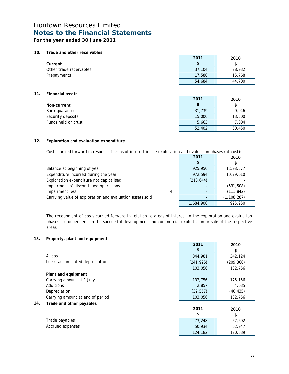## **For the year ended 30 June 2011**

## **10. Trade and other receivables**

|                         | 2011   | 2010   |
|-------------------------|--------|--------|
| Current                 | \$     | \$     |
| Other trade receivables | 37,104 | 28,932 |
| Prepayments             | 17,580 | 15,768 |
|                         | 54,684 | 44,700 |

**11. Financial assets** 

|                     | 2011   | 2010   |
|---------------------|--------|--------|
| Non-current         | \$     | \$     |
| Bank quarantee      | 31,739 | 29,946 |
| Security deposits   | 15,000 | 13,500 |
| Funds held on trust | 5,663  | 7.004  |
|                     | 52,402 | 50,450 |

## **12. Exploration and evaluation expenditure**

| Costs carried forward in respect of areas of interest in the exploration and evaluation phases (at cost): |            |               |  |  |
|-----------------------------------------------------------------------------------------------------------|------------|---------------|--|--|
|                                                                                                           | 2011       | 2010          |  |  |
|                                                                                                           | \$         | \$            |  |  |
| Balance at beginning of year                                                                              | 925,950    | 1,598,577     |  |  |
| Expenditure incurred during the year                                                                      | 972.594    | 1,079,010     |  |  |
| Exploration expenditure not capitalised                                                                   | (213, 644) |               |  |  |
| Impairment of discontinued operations                                                                     |            | (531, 508)    |  |  |
| Impairment loss<br>4                                                                                      |            | (111, 842)    |  |  |
| Carrying value of exploration and evaluation assets sold                                                  | -          | (1, 108, 287) |  |  |
|                                                                                                           | 1,684,900  | 925,950       |  |  |

The recoupment of costs carried forward in relation to areas of interest in the exploration and evaluation phases are dependent on the successful development and commercial exploitation or sale of the respective areas.

### **13. Property, plant and equipment**

|                                  | 2011       | 2010       |
|----------------------------------|------------|------------|
|                                  | \$         | \$         |
| At cost                          | 344,981    | 342,124    |
| Less: accumulated depreciation   | (241, 925) | (209, 368) |
|                                  | 103,056    | 132,756    |
| Plant and equipment              |            |            |
| Carrying amount at 1 July        | 132,756    | 175,156    |
| Additions                        | 2,857      | 4,035      |
| Depreciation                     | (32, 557)  | (46, 435)  |
| Carrying amount at end of period | 103,056    | 132,756    |
| 14.<br>Trade and other payables  |            |            |
|                                  | 2011       | 2010       |
|                                  | \$         | \$         |
| Trade payables                   | 73,248     | 57,692     |
| Accrued expenses                 | 50,934     | 62,947     |
|                                  | 124,182    | 120,639    |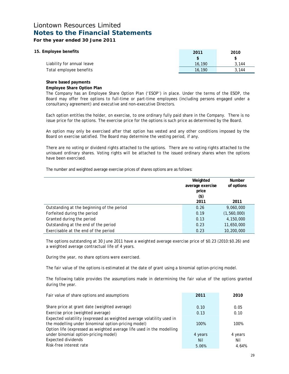## **For the year ended 30 June 2011**

| 15. Employee benefits      | 2011   | 2010  |
|----------------------------|--------|-------|
|                            |        |       |
| Liability for annual leave | 16.190 | 3.144 |
| Total employee benefits    | 16,190 | 3.144 |

### **Share based payments**

### **Employee Share Option Plan**

The Company has an Employee Share Option Plan ('ESOP') in place. Under the terms of the ESOP, the Board may offer free options to full-time or part-time employees (including persons engaged under a consultancy agreement) and executive and non-executive Directors.

Each option entitles the holder, on exercise, to one ordinary fully paid share in the Company. There is no issue price for the options. The exercise price for the options is such price as determined by the Board.

An option may only be exercised after that option has vested and any other conditions imposed by the Board on exercise satisfied. The Board may determine the vesting period, if any.

 There are no voting or dividend rights attached to the options. There are no voting rights attached to the unissued ordinary shares. Voting rights will be attached to the issued ordinary shares when the options have been exercised.

The number and weighted average exercise prices of shares options are as follows:

|                                            | Weighted<br>average exercise<br>price<br>$($ \$) | <b>Number</b><br>of options |
|--------------------------------------------|--------------------------------------------------|-----------------------------|
|                                            | 2011                                             | 2011                        |
| Outstanding at the beginning of the period | 0.26                                             | 9,060,000                   |
| Forfeited during the period                | 0.19                                             | (1, 560, 000)               |
| Granted during the period                  | 0.13                                             | 4,150,000                   |
| Outstanding at the end of the period       | 0.23                                             | 11,650,000                  |
| Exercisable at the end of the period       | 0.23                                             | 10,200,000                  |

The options outstanding at 30 June 2011 have a weighted average exercise price of \$0.23 (2010:\$0.26) and a weighted average contractual life of 4 years.

During the year, no share options were exercised.

The fair value of the options is estimated at the date of grant using a binomial option-pricing model.

The following table provides the assumptions made in determining the fair value of the options granted during the year.

| Fair value of share options and assumptions                           | 2011    | 2010    |
|-----------------------------------------------------------------------|---------|---------|
|                                                                       |         |         |
| Share price at grant date (weighted average)                          | 0.10    | 0.05    |
| Exercise price (weighted average)                                     | 0.13    | 0.10    |
| Expected volatility (expressed as weighted average volatility used in |         |         |
| the modelling under binominal option-pricing model)                   | 100%    | 100%    |
| Option life (expressed as weighted average life used in the modelling |         |         |
| under binomial option-pricing model)                                  | 4 years | 4 years |
| <b>Expected dividends</b>                                             | Nil     | Nil     |
| Risk-free interest rate                                               | 5.06%   | 4.64%   |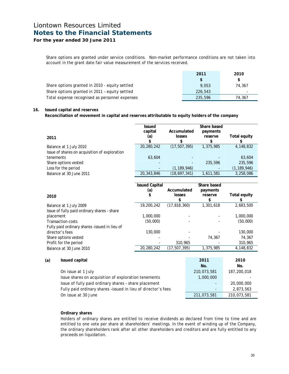## **For the year ended 30 June 2011**

Share options are granted under service conditions. Non-market performance conditions are not taken into account in the grant date fair value measurement of the services received.

|                                                | 2011    | 2010   |
|------------------------------------------------|---------|--------|
|                                                |         |        |
| Share options granted in 2010 - equity settled | 9.053   | 74,367 |
| Share options granted in 2011 - equity settled | 226,543 | $\sim$ |
| Total expense recognised as personnel expenses | 235,596 | 74,367 |

## **16. Issued capital and reserves**

**Reconciliation of movement in capital and reserves attributable to equity holders of the company** 

|                                               | <b>Issued</b><br>capital | Accumulated    | Share based<br>payments |               |
|-----------------------------------------------|--------------------------|----------------|-------------------------|---------------|
| 2011                                          | (a)                      | losses         | reserve                 | Total equity  |
| Balance at 1 July 2010                        | 20,280,242               | (17, 507, 395) | 1,375,985               | 4,148,832     |
| Issue of shares on acquisition of exploration |                          |                |                         |               |
| tenements                                     | 63,604                   |                |                         | 63,604        |
| Share options vested                          |                          |                | 235,596                 | 235,596       |
| Loss for the period                           |                          | (1, 189, 946)  |                         | (1, 189, 946) |
| Balance at 30 June 2011                       | 20,343,846               | (18,697,341)   | 1,611,581               | 3,258,086     |

|      |                                                               | <b>Issued Capital</b> |                | Share based |              |
|------|---------------------------------------------------------------|-----------------------|----------------|-------------|--------------|
|      |                                                               | (a)                   | Accumulated    | payments    |              |
| 2010 |                                                               |                       | losses         | reserve     | Total equity |
|      |                                                               |                       |                | \$          | \$           |
|      | Balance at 1 July 2009                                        | 19,200,242            | (17, 818, 360) | 1,301,618   | 2,683,500    |
|      | Issue of fully paid ordinary shares - share                   |                       |                |             |              |
|      | placement                                                     | 1,000,000             |                |             | 1,000,000    |
|      | <b>Transaction costs</b>                                      | (50,000)              |                |             | (50,000)     |
|      | Fully paid ordinary shares -issued in lieu of                 |                       |                |             |              |
|      | director's fees                                               | 130,000               |                |             | 130,000      |
|      | Share options vested                                          |                       |                | 74,367      | 74,367       |
|      | Profit for the period                                         |                       | 310,965        |             | 310,965      |
|      | Balance at 30 June 2010                                       | 20,280,242            | (17, 507, 395) | 1,375,985   | 4,148,832    |
| (a)  | Issued capital                                                |                       |                | 2011        | 2010         |
|      |                                                               |                       |                | No.         | No.          |
|      | On issue at 1 July                                            |                       |                | 210,073,581 | 187,200,018  |
|      | Issue shares on acquisition of exploration tenements          |                       |                | 1,000,000   |              |
|      | Issue of fully paid ordinary shares - share placement         |                       |                |             | 20,000,000   |
|      | Fully paid ordinary shares -issued in lieu of director's fees |                       |                |             | 2,873,563    |
|      | On issue at 30 June                                           |                       |                | 211,073,581 | 210,073,581  |

# **Ordinary shares**

 Holders of ordinary shares are entitled to receive dividends as declared from time to time and are entitled to one vote per share at shareholders' meetings. In the event of winding up of the Company, the ordinary shareholders rank after all other shareholders and creditors and are fully entitled to any proceeds on liquidation.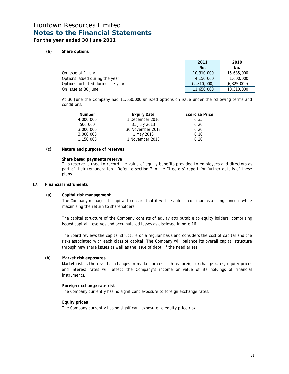## **For the year ended 30 June 2011**

### **(b) Share options**

|                                   | 2011        | 2010          |
|-----------------------------------|-------------|---------------|
|                                   | No.         | No.           |
| On issue at 1 July                | 10,310,000  | 15,635,000    |
| Options issued during the year    | 4,150,000   | 1,000,000     |
| Options forfeited during the year | (2,810,000) | (6, 325, 000) |
| On issue at 30 June               | 11,650,000  | 10,310,000    |

 At 30 June the Company had 11,650,000 unlisted options on issue under the following terms and conditions:

| <b>Number</b> | Expiry Date      | <b>Exercise Price</b> |
|---------------|------------------|-----------------------|
| 4,000,000     | 1 December 2010  | 0.35                  |
| 500,000       | 31 July 2013     | 0.20                  |
| 3,000,000     | 30 November 2013 | 0.20                  |
| 3,000,000     | 1 May 2013       | 0.10                  |
| 1,150,000     | 1 November 2013  | 0.20                  |

### **(c) Nature and purpose of reserves**

### **Share based payments reserve**

 This reserve is used to record the value of equity benefits provided to employees and directors as part of their remuneration. Refer to section 7 in the Directors' report for further details of these plans.

## **17. Financial instruments**

## **(a) Capital risk management**

The Company manages its capital to ensure that it will be able to continue as a going concern while maximising the return to shareholders.

The capital structure of the Company consists of equity attributable to equity holders, comprising issued capital, reserves and accumulated losses as disclosed in note 16.

The Board reviews the capital structure on a regular basis and considers the cost of capital and the risks associated with each class of capital. The Company will balance its overall capital structure through new share issues as well as the issue of debt, if the need arises.

## **(b) Market risk exposures**

Market risk is the risk that changes in market prices such as foreign exchange rates, equity prices and interest rates will affect the Company's income or value of its holdings of financial instruments.

## **Foreign exchange rate risk**

The Company currently has no significant exposure to foreign exchange rates.

## **Equity prices**

The Company currently has no significant exposure to equity price risk.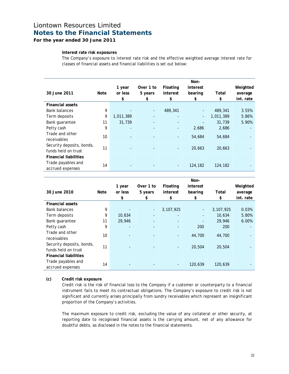## **For the year ended 30 June 2011**

## **Interest rate risk exposures**

The Company's exposure to interest rate risk and the effective weighted average interest rate for classes of financial assets and financial liabilities is set out below:

|                           |           |                          |                          | Non-                     |           |           |
|---------------------------|-----------|--------------------------|--------------------------|--------------------------|-----------|-----------|
|                           | 1 year    | Over 1 to                | Floating                 | interest                 |           | Weighted  |
|                           |           |                          |                          |                          |           | average   |
|                           | \$        | \$                       | \$                       | \$                       | \$        | int. rate |
|                           |           |                          |                          |                          |           |           |
| 9                         |           | $\overline{\phantom{a}}$ | 489,341                  |                          | 489,341   | 3.55%     |
| 9                         | 1,011,389 | $\overline{\phantom{a}}$ |                          | $\overline{\phantom{a}}$ | 1,011,389 | 5.86%     |
| 11                        | 31,739    | ٠                        |                          |                          | 31,739    | 5.90%     |
| 9                         |           |                          |                          | 2,686                    | 2,686     |           |
| 10                        |           |                          |                          | 54,684                   | 54,684    |           |
| 11                        |           | ٠                        |                          | 20,663                   | 20,663    |           |
|                           |           |                          |                          |                          |           |           |
| 14                        |           |                          | $\overline{\phantom{a}}$ | 124,182                  | 124,182   |           |
| Security deposits, bonds, | Note      | or less                  | 5 years                  | interest                 | bearing   | Total     |

|                              |      |         |                |                          | Non-                     |           |           |
|------------------------------|------|---------|----------------|--------------------------|--------------------------|-----------|-----------|
|                              |      | 1 year  | Over 1 to      | Floating                 | interest                 |           | Weighted  |
| 30 June 2010                 | Note | or less | 5 years        | interest                 | bearing                  | Total     | average   |
|                              |      | \$      | \$             | \$                       | \$                       | \$        | int. rate |
| <b>Financial assets</b>      |      |         |                |                          |                          |           |           |
| <b>Bank balances</b>         | 9    |         | $\blacksquare$ | 3,107,925                |                          | 3,107,925 | 0.03%     |
| Term deposits                | 9    | 10,634  | ٠              |                          |                          | 10.634    | 5.80%     |
| Bank guarantee               | 11   | 29,946  |                | $\overline{\phantom{a}}$ | $\overline{\phantom{a}}$ | 29,946    | 6.00%     |
| Petty cash                   | 9    | ٠       | ۰              |                          | 200                      | 200       |           |
| Trade and other              |      |         |                |                          |                          |           |           |
| receivables                  | 10   | ٠       | ٠              | $\overline{\phantom{a}}$ | 44,700                   | 44,700    |           |
| Security deposits, bonds,    |      |         |                |                          |                          |           |           |
| funds held on trust          | 11   |         | ÷              |                          | 20,504                   | 20,504    |           |
| <b>Financial liabilities</b> |      |         |                |                          |                          |           |           |
| Trade payables and           |      |         |                |                          |                          |           |           |
| accrued expenses             | 14   |         |                | $\overline{\phantom{a}}$ | 120,639                  | 120,639   |           |

## **(c) Credit risk exposure**

Credit risk is the risk of financial loss to the Company if a customer or counterparty to a financial instrument fails to meet its contractual obligations. The Company's exposure to credit risk is not significant and currently arises principally from sundry receivables which represent an insignificant proportion of the Company's activities.

The maximum exposure to credit risk, excluding the value of any collateral or other security, at reporting date to recognised financial assets is the carrying amount, net of any allowance for doubtful debts, as disclosed in the notes to the financial statements.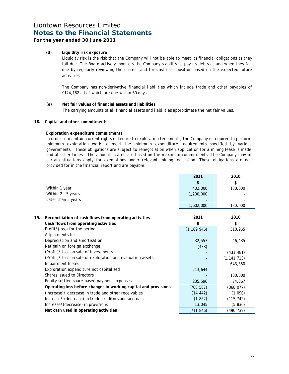## **For the year ended 30 June 2011**

## **(d) Liquidity risk exposure**

Liquidity risk is the risk that the Company will not be able to meet its financial obligations as they fall due. The Board actively monitors the Company's ability to pay its debts as and when they fall due by regularly reviewing the current and forecast cash position based on the expected future activities.

The Company has non-derivative financial liabilities which include trade and other payables of \$124,182 all of which are due within 60 days.

**(e) Net fair values of financial assets and liabilities**  The carrying amounts of all financial assets and liabilities approximate the net fair values.

### **18. Capital and other commitments**

### **Exploration expenditure commitments**

In order to maintain current rights of tenure to exploration tenements, the Company is required to perform minimum exploration work to meet the minimum expenditure requirements specified by various governments. These obligations are subject to renegotiation when application for a mining lease is made and at other times. The amounts stated are based on the maximum commitments. The Company may in certain situations apply for exemptions under relevant mining legislation. These obligations are not provided for in the financial report and are payable:

|     |                                                                 | 2011          | 2010          |
|-----|-----------------------------------------------------------------|---------------|---------------|
|     |                                                                 | \$            | \$            |
|     | Within 1 year                                                   | 402,000       | 130,000       |
|     | Within 2 - 5 years                                              | 1,200,000     |               |
|     | Later than 5 years                                              |               |               |
|     |                                                                 | 1,602,000     | 130,000       |
|     |                                                                 |               |               |
| 19. | Reconciliation of cash flows from operating activities          | 2011          | 2010          |
|     | Cash flows from operating activities                            | \$            | \$            |
|     | Profit/(loss) for the period                                    | (1, 189, 946) | 310,965       |
|     | Adjustments for:                                                |               |               |
|     | Depreciation and amortisation                                   | 32,557        | 46,435        |
|     | Net gain on foreign exchange                                    | (438)         |               |
|     | (Profit)/ loss on sale of investments                           |               | (431, 481)    |
|     | (Profit)/ loss on sale of exploration and evaluation assets     |               | (1, 141, 713) |
|     | Impairment losses                                               |               | 643,350       |
|     | Exploration expenditure not capitalised                         | 213,644       |               |
|     | Shares issued to Directors                                      |               | 130,000       |
|     | Equity-settled share-based payment expenses                     | 235,596       | 74,367        |
|     | Operating loss before changes in working capital and provisions | (708, 587)    | (368, 077)    |
|     | (Increase)/ decrease in trade and other receivables             | (14, 442)     | (1,090)       |
|     | Increase/ (decrease) in trade creditors and accruals            | (1, 862)      | (115, 742)    |
|     | Increase/(decrease) in provisions                               | 13,045        | (5, 830)      |
|     | Net cash used in operating activities                           | (711, 846)    | (490, 739)    |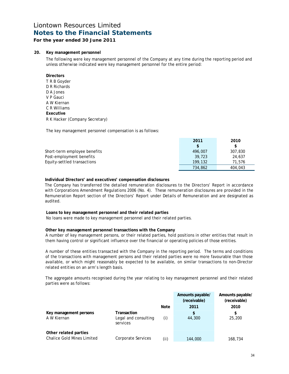## **For the year ended 30 June 2011**

### **20. Key management personnel**

The following were key management personnel of the Company at any time during the reporting period and unless otherwise indicated were key management personnel for the entire period:

**Directors**  T R B Goyder D R Richards D A Jones V P Gauci A W Kiernan C R Williams **Executive** R K Hacker (Company Secretary)

The key management personnel compensation is as follows:

|                              | 2011         | 2010    |
|------------------------------|--------------|---------|
|                              | $\mathbf{f}$ | \$      |
| Short-term employee benefits | 496,007      | 307,830 |
| Post-employment benefits     | 39.723       | 24,637  |
| Equity-settled transactions  | 199.132      | 71.576  |
|                              | 734,862      | 404,043 |

### **Individual Directors' and executives' compensation disclosures**

The Company has transferred the detailed remuneration disclosures to the Directors' Report in accordance with Corporations Amendment Regulations 2006 (No. 4). These remuneration disclosures are provided in the Remuneration Report section of the Directors' Report under Details of Remuneration and are designated as audited.

### **Loans to key management personnel and their related parties**

No loans were made to key management personnel and their related parties.

### **Other key management personnel transactions with the Company**

A number of key management persons, or their related parties, hold positions in other entities that result in them having control or significant influence over the financial or operating policies of those entities.

A number of these entities transacted with the Company in the reporting period. The terms and conditions of the transactions with management persons and their related parties were no more favourable than those available, or which might reasonably be expected to be available, on similar transactions to non-Director related entities on an arm's length basis.

The aggregate amounts recognised during the year relating to key management personnel and their related parties were as follows:

|                                                            |                                                 |      | Amounts payable/<br>(receivable) | Amounts payable/<br>(receivable) |
|------------------------------------------------------------|-------------------------------------------------|------|----------------------------------|----------------------------------|
|                                                            |                                                 | Note | 2011                             | 2010                             |
| Key management persons<br>A W Kiernan                      | Transaction<br>Legal and consulting<br>services | (i)  | \$<br>44,300                     | \$<br>25,200                     |
| Other related parties<br><b>Chalice Gold Mines Limited</b> | Corporate Services                              | (ii) | 144,000                          | 168,734                          |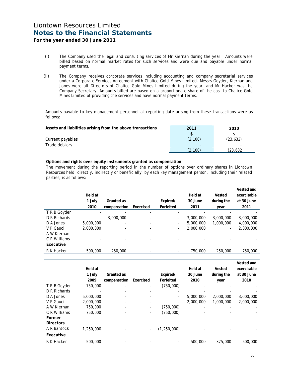## **For the year ended 30 June 2011**

- (i) The Company used the legal and consulting services of Mr Kiernan during the year. Amounts were billed based on normal market rates for such services and were due and payable under normal payment terms.
- (ii) The Company receives corporate services including accounting and company secretarial services under a Corporate Services Agreement with Chalice Gold Mines Limited. Messrs Goyder, Kiernan and Jones were all Directors of Chalice Gold Mines Limited during the year, and Mr Hacker was the Company Secretary. Amounts billed are based on a proportionate share of the cost to Chalice Gold Mines Limited of providing the services and have normal payment terms.

Amounts payable to key management personnel at reporting date arising from these transactions were as follows:

| Assets and liabilities arising from the above transactions | 2011    | 2010      |
|------------------------------------------------------------|---------|-----------|
|                                                            |         |           |
| Current payables                                           | (2.100) | (23, 632) |
| Trade debtors                                              | -       |           |
|                                                            | (2.100) | (23, 632) |

## **Options and rights over equity instruments granted as compensation**

The movement during the reporting period in the number of options over ordinary shares in Liontown Resources held, directly, indirectly or beneficially, by each key management person, including their related parties, is as follows:

|              |           |              |           |                          |           |            | Vested and  |
|--------------|-----------|--------------|-----------|--------------------------|-----------|------------|-------------|
|              | Held at   |              |           |                          | Held at   | Vested     | exercisable |
|              | 1 July    | Granted as   |           | Expired/                 | 30 June   | during the | at 30 June  |
|              | 2010      | compensation | Exercised | Forfeited                | 2011      | year       | 2011        |
| T R B Goyder | -         |              | ۰         | -                        | -         | ۰          |             |
| D R Richards | ۰         | 3,000,000    |           | $\overline{\phantom{a}}$ | 3,000,000 | 3,000,000  | 3,000,000   |
| D A Jones    | 5,000,000 | ۰            | ۰         | $\overline{\phantom{a}}$ | 5,000,000 | 1,000,000  | 4,000,000   |
| V P Gauci    | 2,000,000 |              | ۰         | $\overline{\phantom{0}}$ | 2,000,000 | Ξ.         | 2,000,000   |
| A W Kiernan  |           |              | ۰         | -                        | ۰         | -          |             |
| C R Williams |           |              | ۰         |                          | ۰         |            |             |
| Executive    |           |              |           |                          |           |            |             |
| R K Hacker   | 500,000   | 250,000      | ۰.        | ۰.                       | 750,000   | 250,000    | 750,000     |

|                  | Held at   |              |                              |                          | Held at   | Vested     | Vested and<br>exercisable |
|------------------|-----------|--------------|------------------------------|--------------------------|-----------|------------|---------------------------|
|                  | 1 July    | Granted as   |                              | Expired/                 | 30 June   | during the | at 30 June                |
|                  | 2009      | compensation | Exercised                    | Forfeited                | 2010      | year       | 2010                      |
| T R B Goyder     | 750,000   |              | $\qquad \qquad \blacksquare$ | (750,000)                |           |            |                           |
| D R Richards     |           |              | -                            |                          |           |            |                           |
| D A Jones        | 5,000,000 |              |                              | $\overline{\phantom{0}}$ | 5,000,000 | 2,000,000  | 3,000,000                 |
| V P Gauci        | 2,000,000 | ۰            | $\overline{\phantom{0}}$     | ۰                        | 2,000,000 | 1,000,000  | 2,000,000                 |
| A W Kiernan      | 750,000   |              | $\qquad \qquad \blacksquare$ | (750,000)                |           |            |                           |
| C R Williams     | 750,000   |              |                              | (750,000)                |           |            |                           |
| Former           |           |              |                              |                          |           |            |                           |
| <b>Directors</b> |           |              |                              |                          |           |            |                           |
| A R Bantock      | 1,250,000 |              | $\overline{\phantom{a}}$     | (1, 250, 000)            |           |            |                           |
| Executive        |           |              |                              |                          |           |            |                           |
| R K Hacker       | 500,000   |              |                              |                          | 500,000   | 375,000    | 500,000                   |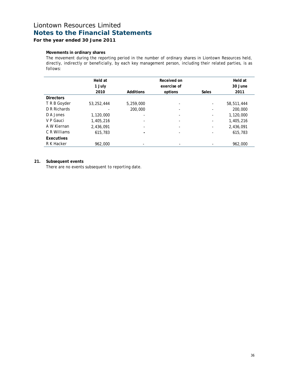## **For the year ended 30 June 2011**

### **Movements in ordinary shares**

The movement during the reporting period in the number of ordinary shares in Liontown Resources held, directly, indirectly or beneficially, by each key management person, including their related parties, is as follows:

|                  | Held at    |           | Received on              |                          | Held at    |
|------------------|------------|-----------|--------------------------|--------------------------|------------|
|                  | 1 July     |           | exercise of              |                          | 30 June    |
|                  | 2010       | Additions | options                  | <b>Sales</b>             | 2011       |
| <b>Directors</b> |            |           |                          |                          |            |
| T R B Goyder     | 53,252,444 | 5,259,000 | ۰                        | $\overline{\phantom{a}}$ | 58,511,444 |
| D R Richards     | -          | 200,000   | ۰                        | -                        | 200,000    |
| D A Jones        | 1,120,000  | ۰         | ۰                        | ٠                        | 1,120,000  |
| V P Gauci        | 1,405,216  | ۰         | ۰                        | -                        | 1,405,216  |
| A W Kiernan      | 2,436,091  | ۰         | ۰                        | $\overline{\phantom{a}}$ | 2,436,091  |
| C R Williams     | 615,783    | -         | ۰                        | ۰                        | 615,783    |
| Executives       |            |           |                          |                          |            |
| R K Hacker       | 962,000    | ۰         | $\overline{\phantom{a}}$ | $\blacksquare$           | 962,000    |

## **21. Subsequent events**

There are no events subsequent to reporting date.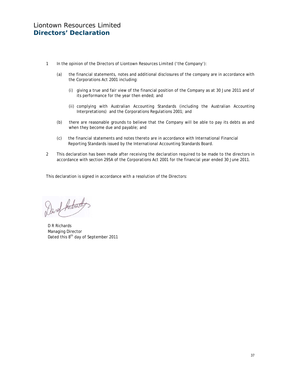- 1 In the opinion of the Directors of Liontown Resources Limited ('the Company'):
	- (a) the financial statements, notes and additional disclosures of the company are in accordance with the Corporations Act 2001 including:
		- (i) giving a true and fair view of the financial position of the Company as at 30 June 2011 and of its performance for the year then ended; and
		- (ii) complying with Australian Accounting Standards (including the Australian Accounting Interpretations) and the Corporations Regulations 2001; and
	- (b) there are reasonable grounds to believe that the Company will be able to pay its debts as and when they become due and payable; and
	- (c) the financial statements and notes thereto are in accordance with International Financial Reporting Standards issued by the International Accounting Standards Board.
- 2 This declaration has been made after receiving the declaration required to be made to the directors in accordance with section 295A of the Corporations Act 2001 for the financial year ended 30 June 2011.

This declaration is signed in accordance with a resolution of the Directors:

David Advances

D R Richards Managing Director Dated this 8<sup>th</sup> day of September 2011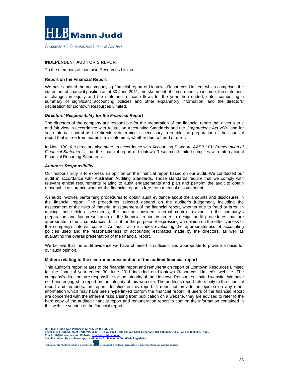

Accountants | Business and Financial Advisers

### **INDEPENDENT AUDITOR'S REPORT**

To the members of Liontown Resources Limited

### **Report on the Financial Report**

We have audited the accompanying financial report of Liontown Resources Limited, which comprises the statement of financial position as at 30 June 2011, the statement of comprehensive income, the statement of changes in equity and the statement of cash flows for the year then ended, notes comprising a summary of significant accounting policies and other explanatory information, and the directors' declaration for Liontown Resources Limited.

### *Directors' Responsibility for the Financial Report*

The directors of the company are responsible for the preparation of the financial report that gives a true and fair view in accordance with Australian Accounting Standards and the *Corporations Act 2001* and for such internal control as the directors determine is necessary to enable the preparation of the financial report that is free from material misstatement, whether due to fraud or error.

In Note 1(a), the directors also state, in accordance with Accounting Standard AASB 101: *Presentation of Financial Statements*, that the financial report of Liontown Resources Limited complies with International Financial Reporting Standards.

### *Auditor's Responsibility*

Our responsibility is to express an opinion on the financial report based on our audit. We conducted our audit in accordance with Australian Auditing Standards. Those standards require that we comply with relevant ethical requirements relating to audit engagements and plan and perform the audit to obtain reasonable assurance whether the financial report is free from material misstatement.

An audit involves performing procedures to obtain audit evidence about the amounts and disclosures in the financial report. The procedures selected depend on the auditor's judgement, including the assessment of the risks of material misstatement of the financial report, whether due to fraud or error. In making those risk assessments, the auditor considers internal control relevant to the company's preparation and fair presentation of the financial report in order to design audit procedures that are appropriate in the circumstances, but not for the purpose of expressing an opinion on the effectiveness of the company's internal control. An audit also includes evaluating the appropriateness of accounting policies used and the reasonableness of accounting estimates made by the directors, as well as evaluating the overall presentation of the financial report.

We believe that the audit evidence we have obtained is sufficient and appropriate to provide a basis for our audit opinion.

### **Matters relating to the electronic presentation of the audited financial report**

This auditor's report relates to the financial report and remuneration report of Liontown Resources Limited for the financial year ended 30 June 2011 included on Liontown Resources Limited's website. The company's directors are responsible for the integrity of the Liontown Resources Limited website. We have not been engaged to report on the integrity of this web site. The auditor's report refers only to the financial report and remuneration report identified in this report. It does not provide an opinion on any other information which may have been hyperlinked to/from the financial report. If users of the financial report are concerned with the inherent risks arising from publication on a website, they are advised to refer to the hard copy of the audited financial report and remuneration report to confirm the information contained in this website version of the financial report.

**HLB Mann Judd (WA Partnership) ABN 22 193 232 714 Level 4, 130 Stirling Street Perth WA 6000. PO Box 8124 Perth BC WA 6849 Telephone +61 (08) 9227 7500. Fax +61 (08) 9227 7533. Email: hlb@hlbwa.com.au. Website: http://www.hlb.com.au Liability limited by a scheme approved under Professional Standards Legislation** 

**HLB Mann Judd (WA Partnership) is a member of <b>HLB** International, a worldwide organisation of accounting firms and business advisers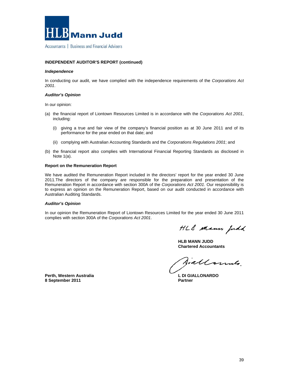

Accountants | Business and Financial Advisers

### **INDEPENDENT AUDITOR'S REPORT (continued)**

#### *Independence*

In conducting our audit, we have complied with the independence requirements of the *Corporations Act 2001*.

### *Auditor's Opinion*

In our opinion:

- (a) the financial report of Liontown Resources Limited is in accordance with the *Corporations Act 2001*, including:
	- (i) giving a true and fair view of the company's financial position as at 30 June 2011 and of its performance for the year ended on that date; and
	- (ii) complying with Australian Accounting Standards and the *Corporations Regulations 2001*; and
- (b) the financial report also complies with International Financial Reporting Standards as disclosed in Note 1(a).

#### **Report on the Remuneration Report**

We have audited the Remuneration Report included in the directors' report for the year ended 30 June 2011.The directors of the company are responsible for the preparation and presentation of the Remuneration Report in accordance with section 300A of the *Corporations Act 2001*. Our responsibility is to express an opinion on the Remuneration Report, based on our audit conducted in accordance with Australian Auditing Standards.

#### *Auditor's Opinion*

In our opinion the Remuneration Report of Liontown Resources Limited for the year ended 30 June 2011 complies with section 300A of the *Corporations Act 2001*.

HLB Mann Judd

**HLB MANN JUDD Chartered Accountants** 

Diallonne,

**Perth, Western Australia L DI GIALLONARDO** 8 September 2011 **Partner**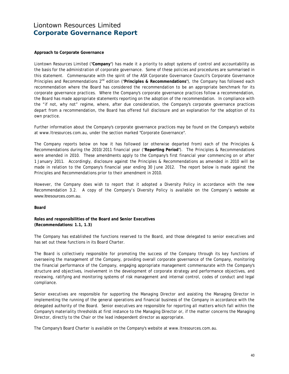### **Approach to Corporate Governance**

Liontown Resources Limited ("**Company**") has made it a priority to adopt systems of control and accountability as the basis for the administration of corporate governance. Some of these policies and procedures are summarised in this statement. Commensurate with the spirit of the ASX Corporate Governance Council's Corporate Governance Principles and Recommendations 2nd edition ("**Principles & Recommendations**"), the Company has followed each recommendation where the Board has considered the recommendation to be an appropriate benchmark for its corporate governance practices. Where the Company's corporate governance practices follow a recommendation, the Board has made appropriate statements reporting on the adoption of the recommendation. In compliance with the "if not, why not" regime, where, after due consideration, the Company's corporate governance practices depart from a recommendation, the Board has offered full disclosure and an explanation for the adoption of its own practice.

Further information about the Company's corporate governance practices may be found on the Company's website at www.ltresources.com.au, under the section marked "Corporate Governance".

The Company reports below on how it has followed (or otherwise departed from) each of the Principles & Recommendations during the 2010/2011 financial year ("**Reporting Period**"). The Principles & Recommendations were amended in 2010. These amendments apply to the Company's first financial year commencing on or after 1 January 2011. Accordingly, disclosure against the Principles & Recommendations as amended in 2010 will be made in relation to the Company's financial year ending 30 June 2012. The report below is made against the Principles and Recommendations prior to their amendment in 2010.

However, the Company does wish to report that it adopted a Diversity Policy in accordance with the new Recommendation 3.2. A copy of the Company's Diversity Policy is available on the Company's website at www.ltresources.com.au.

**Board** 

## **Roles and responsibilities of the Board and Senior Executives (Recommendations: 1.1, 1.3)**

The Company has established the functions reserved to the Board, and those delegated to senior executives and has set out these functions in its Board Charter.

The Board is collectively responsible for promoting the success of the Company through its key functions of overseeing the management of the Company, providing overall corporate governance of the Company, monitoring the financial performance of the Company, engaging appropriate management commensurate with the Company's structure and objectives, involvement in the development of corporate strategy and performance objectives, and reviewing, ratifying and monitoring systems of risk management and internal control, codes of conduct and legal compliance.

Senior executives are responsible for supporting the Managing Director and assisting the Managing Director in implementing the running of the general operations and financial business of the Company in accordance with the delegated authority of the Board. Senior executives are responsible for reporting all matters which fall within the Company's materiality thresholds at first instance to the Managing Director or, if the matter concerns the Managing Director, directly to the Chair or the lead independent director as appropriate.

The Company's Board Charter is available on the Company's website at www.ltresources.com.au.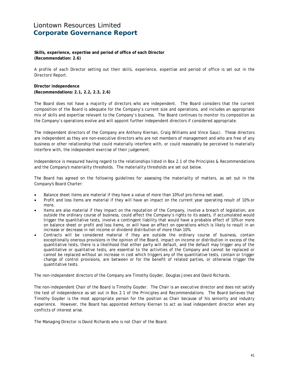**Skills, experience, expertise and period of office of each Director (Recommendation: 2.6)** 

A profile of each Director setting out their skills, experience, expertise and period of office is set out in the Directors' Report.

**Director independence (Recommendations: 2.1, 2.2, 2.3, 2.6)** 

The Board does not have a majority of directors who are independent. The Board considers that the current composition of the Board is adequate for the Company's current size and operations, and includes an appropriate mix of skills and expertise relevant to the Company's business. The Board continues to monitor its composition as the Company's operations evolve and will appoint further independent directors if considered appropriate.

The independent directors of the Company are Anthony Kiernan, Craig Williams and Vince Gauci. These directors are independent as they are non-executive directors who are not members of management and who are free of any business or other relationship that could materially interfere with, or could reasonably be perceived to materially interfere with, the independent exercise of their judgement.

Independence is measured having regard to the relationships listed in Box 2.1 of the Principles & Recommendations and the Company's materiality thresholds. The materiality thresholds are set out below.

The Board has agreed on the following guidelines for assessing the materiality of matters, as set out in the Company's Board Charter:

- Balance sheet items are material if they have a value of more than 10% of pro-forma net asset.
- Profit and loss items are material if they will have an impact on the current year operating result of 10% or more.
- Items are also material if they impact on the reputation of the Company, involve a breach of legislation, are outside the ordinary course of business, could affect the Company's rights to its assets, if accumulated would trigger the quantitative tests, involve a contingent liability that would have a probable effect of 10% or more on balance sheet or profit and loss items, or will have an effect on operations which is likely to result in an increase or decrease in net income or dividend distribution of more than 10%.
- Contracts will be considered material if they are outside the ordinary course of business, contain exceptionally onerous provisions in the opinion of the Board, impact on income or distribution in excess of the quantitative tests, there is a likelihood that either party will default, and the default may trigger any of the quantitative or qualitative tests, are essential to the activities of the Company and cannot be replaced or cannot be replaced without an increase in cost which triggers any of the quantitative tests, contain or trigger change of control provisions, are between or for the benefit of related parties, or otherwise trigger the quantitative tests.

The non-independent directors of the Company are Timothy Goyder, Douglas Jones and David Richards.

The non-independent Chair of the Board is Timothy Goyder. The Chair is an executive director and does not satisfy the test of independence as set out in Box 2.1 of the Principles and Recommendations. The Board believes that Timothy Goyder is the most appropriate person for the position as Chair because of his seniority and industry experience. However, the Board has appointed Anthony Kiernan to act as lead independent director when any conflicts of interest arise.

The Managing Director is David Richards who is not Chair of the Board.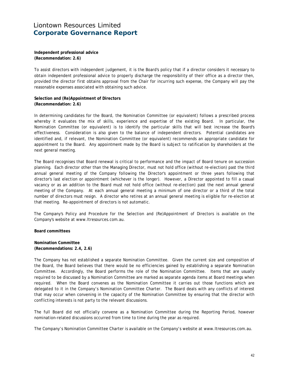**Independent professional advice (Recommendation: 2.6)** 

To assist directors with independent judgement, it is the Board's policy that if a director considers it necessary to obtain independent professional advice to properly discharge the responsibility of their office as a director then, provided the director first obtains approval from the Chair for incurring such expense, the Company will pay the reasonable expenses associated with obtaining such advice.

**Selection and (Re)Appointment of Directors (Recommendation: 2.6)** 

In determining candidates for the Board, the Nomination Committee (or equivalent) follows a prescribed process whereby it evaluates the mix of skills, experience and expertise of the existing Board. In particular, the Nomination Committee (or equivalent) is to identify the particular skills that will best increase the Board's effectiveness. Consideration is also given to the balance of independent directors. Potential candidates are identified and, if relevant, the Nomination Committee (or equivalent) recommends an appropriate candidate for appointment to the Board. Any appointment made by the Board is subject to ratification by shareholders at the next general meeting.

The Board recognises that Board renewal is critical to performance and the impact of Board tenure on succession planning. Each director other than the Managing Director, must not hold office (without re-election) past the third annual general meeting of the Company following the Director's appointment or three years following that director's last election or appointment (whichever is the longer). However, a Director appointed to fill a casual vacancy or as an addition to the Board must not hold office (without re-election) past the next annual general meeting of the Company. At each annual general meeting a minimum of one director or a third of the total number of directors must resign. A director who retires at an annual general meeting is eligible for re-election at that meeting. Re-appointment of directors is not automatic.

The Company's Policy and Procedure for the Selection and (Re)Appointment of Directors is available on the Company's website at www.ltresources.com.au.

**Board committees** 

**Nomination Committee (Recommendations: 2.4, 2.6)** 

The Company has not established a separate Nomination Committee. Given the current size and composition of the Board, the Board believes that there would be no efficiencies gained by establishing a separate Nomination Committee. Accordingly, the Board performs the role of the Nomination Committee. Items that are usually required to be discussed by a Nomination Committee are marked as separate agenda items at Board meetings when required. When the Board convenes as the Nomination Committee it carries out those functions which are delegated to it in the Company's Nomination Committee Charter. The Board deals with any conflicts of interest that may occur when convening in the capacity of the Nomination Committee by ensuring that the director with conflicting interests is not party to the relevant discussions.

The full Board did not officially convene as a Nomination Committee during the Reporting Period, however nomination-related discussions occurred from time to time during the year as required.

The Company's Nomination Committee Charter is available on the Company's website at www.ltresources.com.au.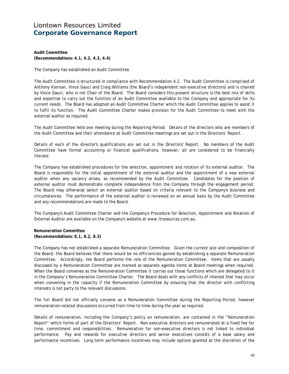**Audit Committee (Recommendations: 4.1, 4.2, 4.3, 4.4)** 

The Company has established an Audit Committee.

The Audit Committee is structured in compliance with Recommendation 4.2. The Audit Committee is comprised of Anthony Kiernan, Vince Gauci and Craig Williams (the Board's independent non-executive directors) and is chaired by Vince Gauci, who is not Chair of the Board. The Board considers this present structure is the best mix of skills and expertise to carry out the function of an Audit Committee available to the Company and appropriate for its current needs. The Board has adopted an Audit Committee Charter which the Audit Committee applies to assist it to fulfil its function. The Audit Committee Charter makes provision for the Audit Committee to meet with the external auditor as required.

The Audit Committee held one meeting during the Reporting Period. Details of the directors who are members of the Audit Committee and their attendance at Audit Committee meetings are set out in the Directors' Report.

Details of each of the director's qualifications are set out in the Directors' Report. No members of the Audit Committee have formal accounting or financial qualifications, however, all are considered to be financially literate.

The Company has established procedures for the selection, appointment and rotation of its external auditor. The Board is responsible for the initial appointment of the external auditor and the appointment of a new external auditor when any vacancy arises, as recommended by the Audit Committee. Candidates for the position of external auditor must demonstrate complete independence from the Company through the engagement period. The Board may otherwise select an external auditor based on criteria relevant to the Company's business and circumstances. The performance of the external auditor is reviewed on an annual basis by the Audit Committee and any recommendations are made to the Board.

The Company's Audit Committee Charter and the Company's Procedure for Selection, Appointment and Rotation of External Auditor are available on the Company's website at www.ltresources.com.au.

**Remuneration Committee (Recommendations: 8.1, 8.2, 8.3)** 

The Company has not established a separate Remuneration Committee. Given the current size and composition of the Board, the Board believes that there would be no efficiencies gained by establishing a separate Remuneration Committee. Accordingly, the Board performs the role of the Remuneration Committee. Items that are usually discussed by a Remuneration Committee are marked as separate agenda items at Board meetings when required. When the Board convenes as the Remuneration Committee it carries out those functions which are delegated to it in the Company's Remuneration Committee Charter. The Board deals with any conflicts of interest that may occur when convening in the capacity if the Remuneration Committee by ensuring that the director with conflicting interests is not party to the relevant discussions.

The full Board did not officially convene as a Remuneration Committee during the Reporting Period, however remuneration-related discussions occurred from time to time during the year as required.

Details of remuneration, including the Company's policy on remuneration, are contained in the "Remuneration Report" which forms of part of the Directors' Report. Non-executive directors are remunerated at a fixed fee for time, commitment and responsibilities. Remuneration for non-executive directors is not linked to individual performance. Pay and rewards for executive directors and senior executives consists of a base salary and performance incentives. Long term performance incentives may include options granted at the discretion of the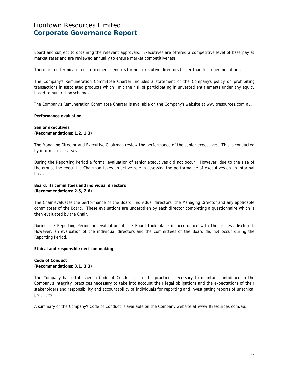Board and subject to obtaining the relevant approvals. Executives are offered a competitive level of base pay at market rates and are reviewed annually to ensure market competitiveness.

There are no termination or retirement benefits for non-executive directors (other than for superannuation).

The Company's Remuneration Committee Charter includes a statement of the Company's policy on prohibiting transactions in associated products which limit the risk of participating in unvested entitlements under any equity based remuneration schemes.

The Company's Remuneration Committee Charter is available on the Company's website at ww.ltresources.com.au.

### **Performance evaluation**

**Senior executives (Recommendations: 1.2, 1.3)** 

The Managing Director and Executive Chairman review the performance of the senior executives. This is conducted by informal interviews.

During the Reporting Period a formal evaluation of senior executives did not occur. However, due to the size of the group, the executive Chairman takes an active role in assessing the performance of executives on an informal basis.

**Board, its committees and individual directors (Recommendations: 2.5, 2.6)** 

The Chair evaluates the performance of the Board, individual directors, the Managing Director and any applicable committees of the Board. These evaluations are undertaken by each director completing a questionnaire which is then evaluated by the Chair.

During the Reporting Period an evaluation of the Board took place in accordance with the process disclosed. However, an evaluation of the individual directors and the committees of the Board did not occur during the Reporting Period.

**Ethical and responsible decision making** 

**Code of Conduct (Recommendations: 3.1, 3.3)** 

The Company has established a Code of Conduct as to the practices necessary to maintain confidence in the Company's integrity, practices necessary to take into account their legal obligations and the expectations of their stakeholders and responsibility and accountability of individuals for reporting and investigating reports of unethical practices.

A summary of the Company's Code of Conduct is available on the Company website at www.ltresources.com.au.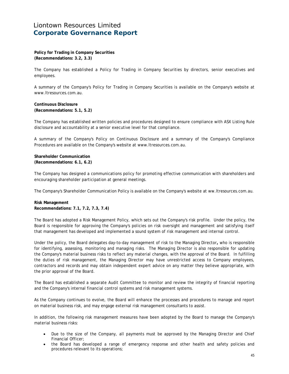**Policy for Trading in Company Securities (Recommendations: 3.2, 3.3)** 

The Company has established a Policy for Trading in Company Securities by directors, senior executives and employees.

A summary of the Company's Policy for Trading in Company Securities is available on the Company's website at www.ltresources.com.au.

**Continuous Disclosure (Recommendations: 5.1, 5.2)** 

The Company has established written policies and procedures designed to ensure compliance with ASX Listing Rule disclosure and accountability at a senior executive level for that compliance.

A summary of the Company's Policy on Continuous Disclosure and a summary of the Company's Compliance Procedures are available on the Company's website at www.ltresources.com.au.

**Shareholder Communication (Recommendations: 6.1, 6.2)** 

The Company has designed a communications policy for promoting effective communication with shareholders and encouraging shareholder participation at general meetings.

The Company's Shareholder Communication Policy is available on the Company's website at ww.ltresources.com.au.

**Risk Management Recommendations: 7.1, 7.2, 7.3, 7.4)** 

The Board has adopted a Risk Management Policy, which sets out the Company's risk profile. Under the policy, the Board is responsible for approving the Company's policies on risk oversight and management and satisfying itself that management has developed and implemented a sound system of risk management and internal control.

Under the policy, the Board delegates day-to-day management of risk to the Managing Director**,** who is responsible for identifying, assessing, monitoring and managing risks. The Managing Director is also responsible for updating the Company's material business risks to reflect any material changes, with the approval of the Board. In fulfilling the duties of risk management, the Managing Director may have unrestricted access to Company employees, contractors and records and may obtain independent expert advice on any matter they believe appropriate, with the prior approval of the Board.

The Board has established a separate Audit Committee to monitor and review the integrity of financial reporting and the Company's internal financial control systems and risk management systems.

As the Company continues to evolve, the Board will enhance the processes and procedures to manage and report on material business risk, and may engage external risk management consultants to assist.

In addition, the following risk management measures have been adopted by the Board to manage the Company's material business risks:

- Due to the size of the Company, all payments must be approved by the Managing Director and Chief Financial Officer;
- the Board has developed a range of emergency response and other health and safety policies and procedures relevant to its operations;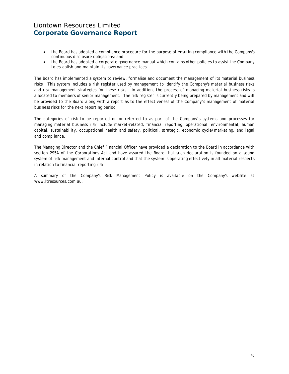- the Board has adopted a compliance procedure for the purpose of ensuring compliance with the Company's continuous disclosure obligations; and
- the Board has adopted a corporate governance manual which contains other policies to assist the Company to establish and maintain its governance practices.

The Board has implemented a system to review, formalise and document the management of its material business risks. This system includes a risk register used by management to identify the Company's material business risks and risk management strategies for these risks. In addition, the process of managing material business risks is allocated to members of senior management. The risk register is currently being prepared by management and will be provided to the Board along with a report as to the effectiveness of the Company's management of material business risks for the next reporting period.

The categories of risk to be reported on or referred to as part of the Company's systems and processes for managing material business risk include market-related, financial reporting, operational, environmental, human capital, sustainability, occupational health and safety, political, strategic, economic cycle/marketing, and legal and compliance.

The Managing Director and the Chief Financial Officer have provided a declaration to the Board in accordance with section 295A of the Corporations Act and have assured the Board that such declaration is founded on a sound system of risk management and internal control and that the system is operating effectively in all material respects in relation to financial reporting risk.

A summary of the Company's Risk Management Policy is available on the Company's website at www.ltresources.com.au.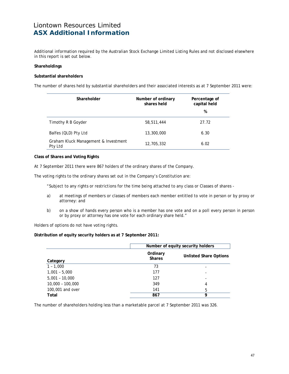# Liontown Resources Limited **ASX Additional Information**

Additional information required by the Australian Stock Exchange Limited Listing Rules and not disclosed elsewhere in this report is set out below.

### **Shareholdings**

### **Substantial shareholders**

The number of shares held by substantial shareholders and their associated interests as at 7 September 2011 were:

| Shareholder                                     | Number of ordinary<br>shares held | Percentage of<br>capital held<br>% |
|-------------------------------------------------|-----------------------------------|------------------------------------|
| Timothy R B Goyder                              | 58,511,444                        | 27.72                              |
| Balfes (QLD) Pty Ltd                            | 13,300,000                        | 6.30                               |
| Graham Kluck Management & Investment<br>Pty Ltd | 12,705,332                        | 6.02                               |

### **Class of Shares and Voting Rights**

At 7 September 2011 there were 867 holders of the ordinary shares of the Company.

The voting rights to the ordinary shares set out in the Company's Constitution are:

"Subject to any rights or restrictions for the time being attached to any class or Classes of shares -

- a) at meetings of members or classes of members each member entitled to vote in person or by proxy or attorney: and
- b) on a show of hands every person who is a member has one vote and on a poll every person in person or by proxy or attorney has one vote for each ordinary share held."

Holders of options do not have voting rights.

## **Distribution of equity security holders as at 7 September 2011:**

|                    |                           | Number of equity security holders |  |
|--------------------|---------------------------|-----------------------------------|--|
| Category           | Ordinary<br><b>Shares</b> | <b>Unlisted Share Options</b>     |  |
| $1 - 1,000$        | 73                        |                                   |  |
| $1,001 - 5,000$    | 177                       | -                                 |  |
| $5,001 - 10,000$   | 127                       |                                   |  |
| $10,000 - 100,000$ | 349                       | 4                                 |  |
| 100,001 and over   | 141                       | 5                                 |  |
| Total              | 867                       | 9                                 |  |

The number of shareholders holding less than a marketable parcel at 7 September 2011 was 326.